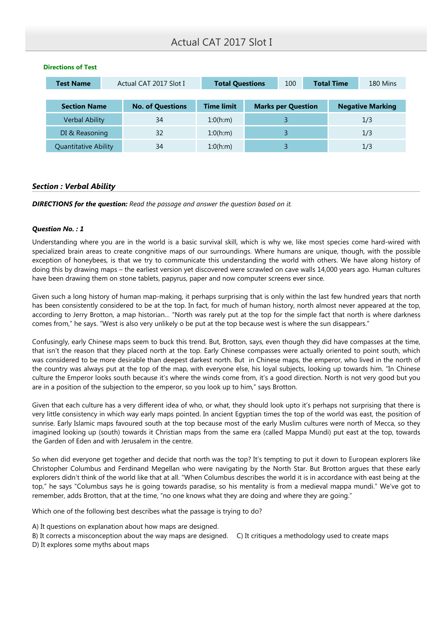| <b>Test Name</b>            | Actual CAT 2017 Slot I |                         | <b>Total Questions</b> |  | 100                       | <b>Total Time</b> | 180 Mins                |
|-----------------------------|------------------------|-------------------------|------------------------|--|---------------------------|-------------------|-------------------------|
| <b>Section Name</b>         |                        | <b>No. of Questions</b> | <b>Time limit</b>      |  | <b>Marks per Question</b> |                   | <b>Negative Marking</b> |
| <b>Verbal Ability</b>       |                        | 34                      | 1:0(h;m)               |  |                           |                   | 1/3                     |
| DI & Reasoning              |                        | 32                      | 1:0(h;m)               |  |                           |                   | 1/3                     |
| <b>Quantitative Ability</b> |                        | 34                      | 1:0(h;m)               |  |                           |                   | 1/3                     |

### Directions of Test

## Section : Verbal Ability

**DIRECTIONS for the question:** Read the passage and answer the question based on it.

## Question No. : 1

Understanding where you are in the world is a basic survival skill, which is why we, like most species come hard-wired with specialized brain areas to create congnitive maps of our surroundings. Where humans are unique, though, with the possible exception of honeybees, is that we try to communicate this understanding the world with others. We have along history of doing this by drawing maps – the earliest version yet discovered were scrawled on cave walls 14,000 years ago. Human cultures have been drawing them on stone tablets, papyrus, paper and now computer screens ever since.

Given such a long history of human map-making, it perhaps surprising that is only within the last few hundred years that north has been consistently considered to be at the top. In fact, for much of human history, north almost never appeared at the top, according to Jerry Brotton, a map historian… "North was rarely put at the top for the simple fact that north is where darkness comes from," he says. "West is also very unlikely o be put at the top because west is where the sun disappears."

Confusingly, early Chinese maps seem to buck this trend. But, Brotton, says, even though they did have compasses at the time, that isn't the reason that they placed north at the top. Early Chinese compasses were actually oriented to point south, which was considered to be more desirable than deepest darkest north. But in Chinese maps, the emperor, who lived in the north of the country was always put at the top of the map, with everyone else, his loyal subjects, looking up towards him. "In Chinese culture the Emperor looks south because it's where the winds come from, it's a good direction. North is not very good but you are in a position of the subjection to the emperor, so you look up to him," says Brotton.

Given that each culture has a very different idea of who, or what, they should look upto it's perhaps not surprising that there is very little consistency in which way early maps pointed. In ancient Egyptian times the top of the world was east, the position of sunrise. Early Islamic maps favoured south at the top because most of the early Muslim cultures were north of Mecca, so they imagined looking up (south) towards it Christian maps from the same era (called Mappa Mundi) put east at the top, towards the Garden of Eden and with Jerusalem in the centre.

So when did everyone get together and decide that north was the top? It's tempting to put it down to European explorers like Christopher Columbus and Ferdinand Megellan who were navigating by the North Star. But Brotton argues that these early explorers didn't think of the world like that at all. "When Columbus describes the world it is in accordance with east being at the top," he says "Columbus says he is going towards paradise, so his mentality is from a medieval mappa mundi." We've got to remember, adds Brotton, that at the time, "no one knows what they are doing and where they are going."

Which one of the following best describes what the passage is trying to do?

A) It questions on explanation about how maps are designed.

- B) It corrects a misconception about the way maps are designed. C) It critiques a methodology used to create maps
- D) It explores some myths about maps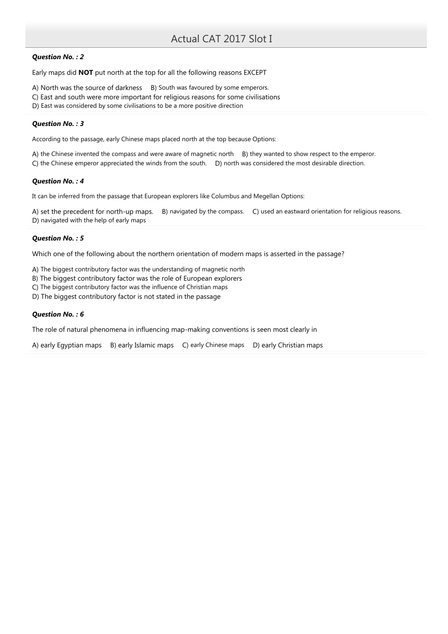## Question No. : 2

Early maps did NOT put north at the top for all the following reasons EXCEPT

- A) North was the source of darkness B) South was favoured by some emperors.
- C) East and south were more important for religious reasons for some civilisations
- D) East was considered by some civilisations to be a more positive direction

## Question No. : 3

According to the passage, early Chinese maps placed north at the top because Options:

A) the Chinese invented the compass and were aware of magnetic north B) they wanted to show respect to the emperor. C) the Chinese emperor appreciated the winds from the south. D) north was considered the most desirable direction.

### Question No. : 4

It can be inferred from the passage that European explorers like Columbus and Megellan Options:

A) set the precedent for north-up maps. B) navigated by the compass. C) used an eastward orientation for religious reasons. D) navigated with the help of early maps

### Question No. : 5

Which one of the following about the northern orientation of modern maps is asserted in the passage?

A) The biggest contributory factor was the understanding of magnetic north

- B) The biggest contributory factor was the role of European explorers
- C) The biggest contributory factor was the influence of Christian maps
- D) The biggest contributory factor is not stated in the passage

## Question No. : 6

The role of natural phenomena in influencing map-making conventions is seen most clearly in

A) early Egyptian maps B) early Islamic maps C) early Chinese maps D) early Christian maps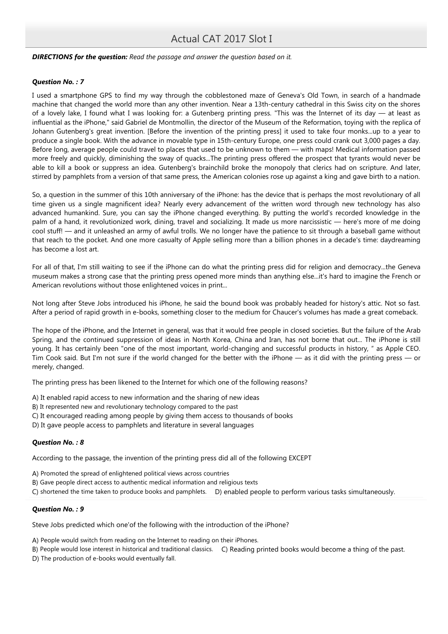### **DIRECTIONS for the question:** Read the passage and answer the question based on it.

### Question No. : 7

I used a smartphone GPS to find my way through the cobblestoned maze of Geneva's Old Town, in search of a handmade machine that changed the world more than any other invention. Near a 13th-century cathedral in this Swiss city on the shores of a lovely lake, I found what I was looking for: a Gutenberg printing press. "This was the Internet of its day  $-$  at least as influential as the iPhone," said Gabriel de Montmollin, the director of the Museum of the Reformation, toying with the replica of Johann Gutenberg's great invention. [Before the invention of the printing press] it used to take four monks...up to a year to produce a single book. With the advance in movable type in 15th-century Europe, one press could crank out 3,000 pages a day. Before long, average people could travel to places that used to be unknown to them — with maps! Medical information passed more freely and quickly, diminishing the sway of quacks...The printing press offered the prospect that tyrants would never be able to kill a book or suppress an idea. Gutenberg's brainchild broke the monopoly that clerics had on scripture. And later, stirred by pamphlets from a version of that same press, the American colonies rose up against a king and gave birth to a nation.

So, a question in the summer of this 10th anniversary of the iPhone: has the device that is perhaps the most revolutionary of all time given us a single magnificent idea? Nearly every advancement of the written word through new technology has also advanced humankind. Sure, you can say the iPhone changed everything. By putting the world's recorded knowledge in the palm of a hand, it revolutionized work, dining, travel and socializing. It made us more narcissistic — here's more of me doing cool stuff! — and it unleashed an army of awful trolls. We no longer have the patience to sit through a baseball game without that reach to the pocket. And one more casualty of Apple selling more than a billion phones in a decade's time: daydreaming has become a lost art.

For all of that, I'm still waiting to see if the iPhone can do what the printing press did for religion and democracy...the Geneva museum makes a strong case that the printing press opened more minds than anything else...it's hard to imagine the French or American revolutions without those enlightened voices in print...

Not long after Steve Jobs introduced his iPhone, he said the bound book was probably headed for history's attic. Not so fast. After a period of rapid growth in e-books, something closer to the medium for Chaucer's volumes has made a great comeback.

The hope of the iPhone, and the Internet in general, was that it would free people in closed societies. But the failure of the Arab Spring, and the continued suppression of ideas in North Korea, China and Iran, has not borne that out... The iPhone is still young. It has certainly been "one of the most important, world-changing and successful products in history, " as Apple CEO. Tim Cook said. But I'm not sure if the world changed for the better with the iPhone — as it did with the printing press — or merely, changed.

The printing press has been likened to the Internet for which one of the following reasons?

- A) It enabled rapid access to new information and the sharing of new ideas
- B) It represented new and revolutionary technology compared to the past
- C) It encouraged reading among people by giving them access to thousands of books
- D) It gave people access to pamphlets and literature in several languages

#### Question No. : 8

According to the passage, the invention of the printing press did all of the following EXCEPT

- A) Promoted the spread of enlightened political views across countries
- B) Gave people direct access to authentic medical information and religious texts

C) shortened the time taken to produce books and pamphlets. D) enabled people to perform various tasks simultaneously.

#### Question No. : 9

Steve Jobs predicted which one'of the following with the introduction of the iPhone?

A) People would switch from reading on the Internet to reading on their iPhones.

- B) People would lose interest in historical and traditional classics. C) Reading printed books would become a thing of the past.
- D) The production of e-books would eventually fall.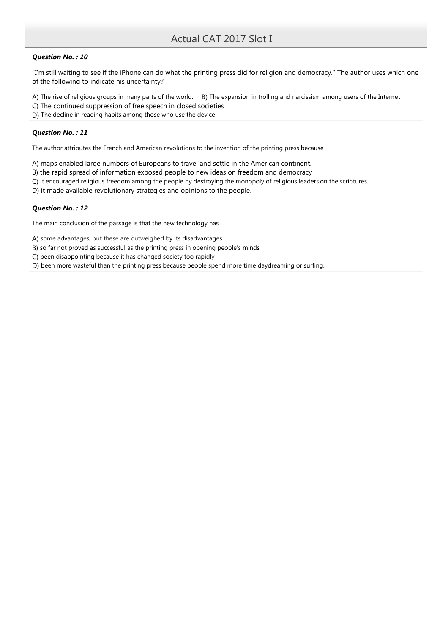## Question No. : 10

"I'm still waiting to see if the iPhone can do what the printing press did for religion and democracy." The author uses which one of the following to indicate his uncertainty?

A) The rise of religious groups in many parts of the world. B) The expansion in trolling and narcissism among users of the Internet

- C) The continued suppression of free speech in closed societies
- D) The decline in reading habits among those who use the device

### Question No. : 11

The author attributes the French and American revolutions to the invention of the printing press because

A) maps enabled large numbers of Europeans to travel and settle in the American continent.

- B) the rapid spread of information exposed people to new ideas on freedom and democracy
- C) it encouraged religious freedom among the people by destroying the monopoly of religious leaders on the scriptures.
- D) it made available revolutionary strategies and opinions to the people.

#### Question No. : 12

The main conclusion of the passage is that the new technology has

A) some advantages, but these are outweighed by its disadvantages.

- B) so far not proved as successful as the printing press in opening people's minds
- C) been disappointing because it has changed society too rapidly

D) been more wasteful than the printing press because people spend more time daydreaming or surfing.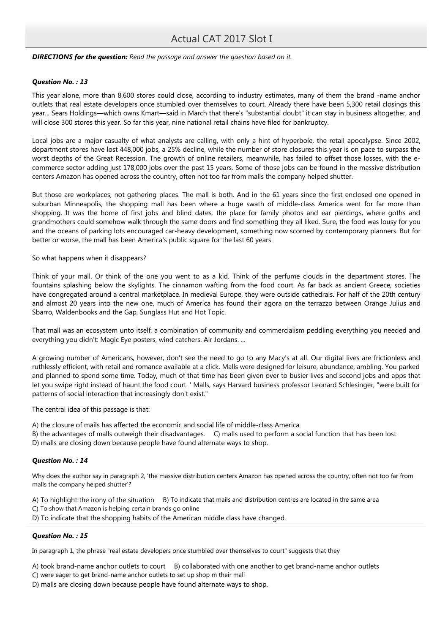### **DIRECTIONS for the question:** Read the passage and answer the question based on it.

### Question No. : 13

This year alone, more than 8,600 stores could close, according to industry estimates, many of them the brand -name anchor outlets that real estate developers once stumbled over themselves to court. Already there have been 5,300 retail closings this year... Sears Holdings—which owns Kmart—said in March that there's "substantial doubt" it can stay in business altogether, and will close 300 stores this year. So far this year, nine national retail chains have filed for bankruptcy.

Local jobs are a major casualty of what analysts are calling, with only a hint of hyperbole, the retail apocalypse. Since 2002, department stores have lost 448,000 jobs, a 25% decline, while the number of store closures this year is on pace to surpass the worst depths of the Great Recession. The growth of online retailers, meanwhile, has failed to offset those losses, with the ecommerce sector adding just 178,000 jobs over the past 15 years. Some of those jobs can be found in the massive distribution centers Amazon has opened across the country, often not too far from malls the company helped shutter.

But those are workplaces, not gathering places. The mall is both. And in the 61 years since the first enclosed one opened in suburban Minneapolis, the shopping mall has been where a huge swath of middle-class America went for far more than shopping. It was the home of first jobs and blind dates, the place for family photos and ear piercings, where goths and grandmothers could somehow walk through the same doors and find something they all liked. Sure, the food was lousy for you and the oceans of parking lots encouraged car-heavy development, something now scorned by contemporary planners. But for better or worse, the mall has been America's public square for the last 60 years.

So what happens when it disappears?

Think of your mall. Or think of the one you went to as a kid. Think of the perfume clouds in the department stores. The fountains splashing below the skylights. The cinnamon wafting from the food court. As far back as ancient Greece, societies have congregated around a central marketplace. In medieval Europe, they were outside cathedrals. For half of the 20th century and almost 20 years into the new one, much of America has found their agora on the terrazzo between Orange Julius and Sbarro, Waldenbooks and the Gap, Sunglass Hut and Hot Topic.

That mall was an ecosystem unto itself, a combination of community and commercialism peddling everything you needed and everything you didn't: Magic Eye posters, wind catchers. Air Jordans. ...

A growing number of Americans, however, don't see the need to go to any Macy's at all. Our digital lives are frictionless and ruthlessly efficient, with retail and romance available at a click. Malls were designed for leisure, abundance, ambling. You parked and planned to spend some time. Today, much of that time has been given over to busier lives and second jobs and apps that let you swipe right instead of haunt the food court. ' Malls, says Harvard business professor Leonard Schlesinger, "were built for patterns of social interaction that increasingly don't exist."

The central idea of this passage is that:

- A) the closure of mails has affected the economic and social life of middle-class America
- B) the advantages of malls outweigh their disadvantages. C) malls used to perform a social function that has been lost D) malls are closing down because people have found alternate ways to shop.

## Question No. : 14

Why does the author say in paragraph 2, 'the massive distribution centers Amazon has opened across the country, often not too far from malls the company helped shutter'?

- A) To highlight the irony of the situation B) To indicate that mails and distribution centres are located in the same area
- C) To show that Amazon is helping certain brands go online
- D) To indicate that the shopping habits of the American middle class have changed.

## Question No. : 15

In paragraph 1, the phrase "real estate developers once stumbled over themselves to court" suggests that they

- A) took brand-name anchor outlets to court B) collaborated with one another to get brand-name anchor outlets
- C) were eager to get brand-name anchor outlets to set up shop m their mall
- D) malls are closing down because people have found alternate ways to shop.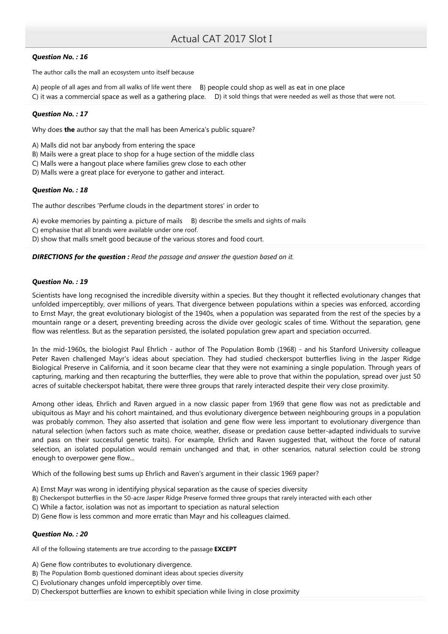## Question No. : 16

The author calls the mall an ecosystem unto itself because

A) people of all ages and from all walks of life went there B) people could shop as well as eat in one place C) it was a commercial space as well as a gathering place. D) it sold things that were needed as well as those that were not.

# Question No. : 17

Why does the author say that the mall has been America's public square?

A) Malls did not bar anybody from entering the space

- B) Mails were a great place to shop for a huge section of the middle class
- C) Malls were a hangout place where families grew close to each other
- D) Malls were a great place for everyone to gather and interact.

## Question No. : 18

The author describes 'Perfume clouds in the department stores' in order to

A) evoke memories by painting a. picture of mails B) describe the smells and sights of mails

C) emphasise that all brands were available under one roof.

D) show that malls smelt good because of the various stores and food court.

**DIRECTIONS for the question :** Read the passage and answer the question based on it.

## Question No. : 19

Scientists have long recognised the incredible diversity within a species. But they thought it reflected evolutionary changes that unfolded imperceptibly, over millions of years. That divergence between populations within a species was enforced, according to Ernst Mayr, the great evolutionary biologist of the 1940s, when a population was separated from the rest of the species by a mountain range or a desert, preventing breeding across the divide over geologic scales of time. Without the separation, gene flow was relentless. But as the separation persisted, the isolated population grew apart and speciation occurred.

In the mid-1960s, the biologist Paul Ehrlich - author of The Population Bomb (1968) - and his Stanford University colleague Peter Raven challenged Mayr's ideas about speciation. They had studied checkerspot butterflies living in the Jasper Ridge Biological Preserve in California, and it soon became clear that they were not examining a single population. Through years of capturing, marking and then recapturing the butterflies, they were able to prove that within the population, spread over just 50 acres of suitable checkerspot habitat, there were three groups that rarely interacted despite their very close proximity.

Among other ideas, Ehrlich and Raven argued in a now classic paper from 1969 that gene flow was not as predictable and ubiquitous as Mayr and his cohort maintained, and thus evolutionary divergence between neighbouring groups in a population was probably common. They also asserted that isolation and gene flow were less important to evolutionary divergence than natural selection (when factors such as mate choice, weather, disease or predation cause better-adapted individuals to survive and pass on their successful genetic traits). For example, Ehrlich and Raven suggested that, without the force of natural selection, an isolated population would remain unchanged and that, in other scenarios, natural selection could be strong enough to overpower gene flow...

Which of the following best sums up Ehrlich and Raven's argument in their classic 1969 paper?

- A) Ernst Mayr was wrong in identifying physical separation as the cause of species diversity
- B) Checkerspot butterflies in the 50-acre Jasper Ridge Preserve formed three groups that rarely interacted with each other
- C) While a factor, isolation was not as important to speciation as natural selection
- D) Gene flow is less common and more erratic than Mayr and his colleagues claimed.

## Question No. : 20

All of the following statements are true according to the passage **EXCEPT** 

- A) Gene flow contributes to evolutionary divergence.
- B) The Population Bomb questioned dominant ideas about species diversity
- C) Evolutionary changes unfold imperceptibly over time.
- D) Checkerspot butterflies are known to exhibit speciation while living in close proximity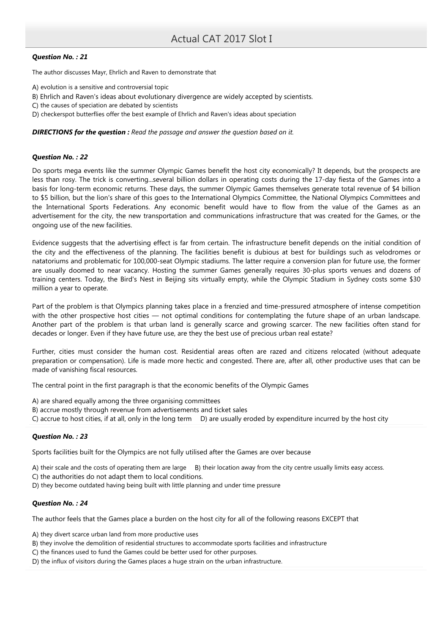## Question No. : 21

The author discusses Mayr, Ehrlich and Raven to demonstrate that

- A) evolution is a sensitive and controversial topic
- B) Ehrlich and Raven's ideas about evolutionary divergence are widely accepted by scientists.
- C) the causes of speciation are debated by scientists
- D) checkerspot butterflies offer the best example of Ehrlich and Raven's ideas about speciation

**DIRECTIONS for the question :** Read the passage and answer the question based on it.

## Question No. : 22

Do sports mega events like the summer Olympic Games benefit the host city economically? It depends, but the prospects are less than rosy. The trick is converting...several billion dollars in operating costs during the 17-day fiesta of the Games into a basis for long-term economic returns. These days, the summer Olympic Games themselves generate total revenue of \$4 billion to \$5 billion, but the lion's share of this goes to the International Olympics Committee, the National Olympics Committees and the International Sports Federations. Any economic benefit would have to flow from the value of the Games as an advertisement for the city, the new transportation and communications infrastructure that was created for the Games, or the ongoing use of the new facilities.

Evidence suggests that the advertising effect is far from certain. The infrastructure benefit depends on the initial condition of the city and the effectiveness of the planning. The facilities benefit is dubious at best for buildings such as velodromes or natatoriums and problematic for 100,000-seat Olympic stadiums. The latter require a conversion plan for future use, the former are usually doomed to near vacancy. Hosting the summer Games generally requires 30-plus sports venues and dozens of training centers. Today, the Bird's Nest in Beijing sits virtually empty, while the Olympic Stadium in Sydney costs some \$30 million a year to operate.

Part of the problem is that Olympics planning takes place in a frenzied and time-pressured atmosphere of intense competition with the other prospective host cities — not optimal conditions for contemplating the future shape of an urban landscape. Another part of the problem is that urban land is generally scarce and growing scarcer. The new facilities often stand for decades or longer. Even if they have future use, are they the best use of precious urban real estate?

Further, cities must consider the human cost. Residential areas often are razed and citizens relocated (without adequate preparation or compensation). Life is made more hectic and congested. There are, after all, other productive uses that can be made of vanishing fiscal resources.

The central point in the first paragraph is that the economic benefits of the Olympic Games

A) are shared equally among the three organising committees

B) accrue mostly through revenue from advertisements and ticket sales

C) accrue to host cities, if at all, only in the long term D) are usually eroded by expenditure incurred by the host city

## Question No. : 23

Sports facilities built for the Olympics are not fully utilised after the Games are over because

A) their scale and the costs of operating them are large B) their location away from the city centre usually limits easy access.

C) the authorities do not adapt them to local conditions.

D) they become outdated having being built with little planning and under time pressure

## Question No. : 24

The author feels that the Games place a burden on the host city for all of the following reasons EXCEPT that

A) they divert scarce urban land from more productive uses

- B) they involve the demolition of residential structures to accommodate sports facilities and infrastructure
- C) the finances used to fund the Games could be better used for other purposes.
- D) the influx of visitors during the Games places a huge strain on the urban infrastructure.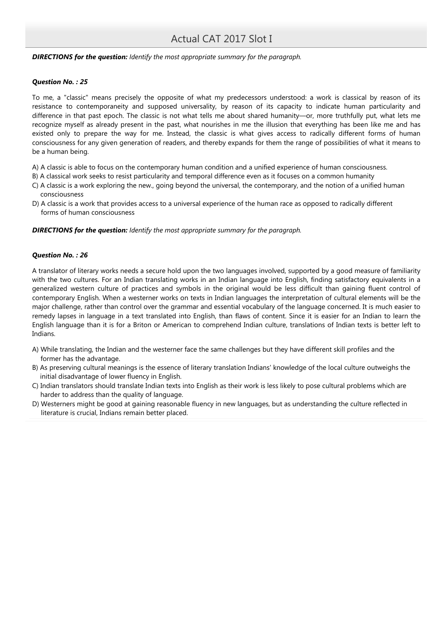## **DIRECTIONS for the question:** Identify the most appropriate summary for the paragraph.

### Question No. : 25

To me, a "classic" means precisely the opposite of what my predecessors understood: a work is classical by reason of its resistance to contemporaneity and supposed universality, by reason of its capacity to indicate human particularity and difference in that past epoch. The classic is not what tells me about shared humanity—or, more truthfully put, what lets me recognize myself as already present in the past, what nourishes in me the illusion that everything has been like me and has existed only to prepare the way for me. Instead, the classic is what gives access to radically different forms of human consciousness for any given generation of readers, and thereby expands for them the range of possibilities of what it means to be a human being.

- A) A classic is able to focus on the contemporary human condition and a unified experience of human consciousness.
- B) A classical work seeks to resist particularity and temporal difference even as it focuses on a common humanity
- C) A classic is a work exploring the new., going beyond the universal, the contemporary, and the notion of a unified human consciousness
- D) A classic is a work that provides access to a universal experience of the human race as opposed to radically different forms of human consciousness

#### **DIRECTIONS for the question:** Identify the most appropriate summary for the paragraph.

#### Question No. : 26

A translator of literary works needs a secure hold upon the two languages involved, supported by a good measure of familiarity with the two cultures. For an Indian translating works in an Indian language into English, finding satisfactory equivalents in a generalized western culture of practices and symbols in the original would be less difficult than gaining fluent control of contemporary English. When a westerner works on texts in Indian languages the interpretation of cultural elements will be the major challenge, rather than control over the grammar and essential vocabulary of the language concerned. It is much easier to remedy lapses in language in a text translated into English, than flaws of content. Since it is easier for an Indian to learn the English language than it is for a Briton or American to comprehend Indian culture, translations of Indian texts is better left to Indians.

- A) While translating, the Indian and the westerner face the same challenges but they have different skill profiles and the former has the advantage.
- B) As preserving cultural meanings is the essence of literary translation Indians' knowledge of the local culture outweighs the initial disadvantage of lower fluency in English.
- C) Indian translators should translate Indian texts into English as their work is less likely to pose cultural problems which are harder to address than the quality of language.
- D) Westerners might be good at gaining reasonable fluency in new languages, but as understanding the culture reflected in literature is crucial, Indians remain better placed.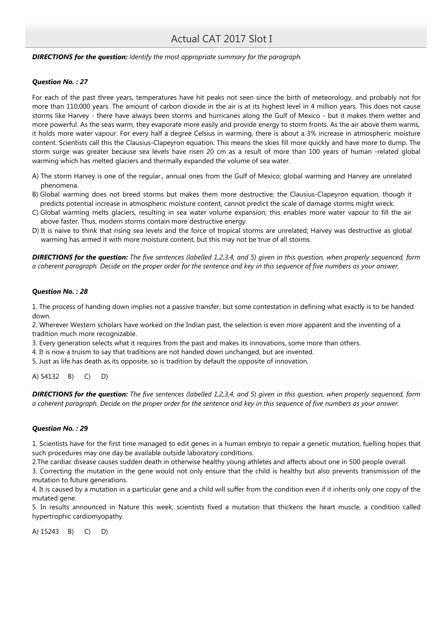## **DIRECTIONS for the question:** Identify the most appropriate summary for the paragraph.

### Question No. : 27

For each of the past three years, temperatures have hit peaks not seen since the birth of meteorology, and probably not for more than 110,000 years. The amount of carbon dioxide in the air is at its highest level in 4 million years. This does not cause storms like Harvey - there have always been storms and hurricanes along the Gulf of Mexico - but it makes them wetter and more powerful. As the seas warm, they evaporate more easily and provide energy to storm fronts. As the air above them warms, it holds more water vapour. For every half a degree Celsius in warming, there is about a 3% increase in atmospheric moisture content. Scientists call this the Clausius-Clapeyron equation. This means the skies fill more quickly and have more to dump. The storm surge was greater because sea levels have risen 20 cm as a result of more than 100 years of human -related global warming which has melted glaciers and thermally expanded the volume of sea water.

- A) The storm Harvey is one of the regular., annual ones from the Gulf of Mexico; global warming and Harvey are unrelated phenomena.
- B) Global warming does not breed storms but makes them more destructive; the Clausius-Clapeyron equation, though it predicts potential increase in atmospheric moisture content, cannot predict the scale of damage storms might wreck.
- C) Global warming melts glaciers, resulting in sea water volume expansion; this enables more water vapour to fill the air above faster. Thus, modern storms contain more destructive energy.
- D) It is naive to think that rising sea levels and the force of tropical storms are unrelated; Harvey was destructive as global warming has armed it with more moisture content, but this may not be true of all storms.

**DIRECTIONS for the question:** The five sentences (labelled 1,2,3,4, and 5) given in this question, when properly sequenced, form a coherent paragraph. Decide on the proper order for the sentence and key in this sequence of five numbers as your answer.

#### Question No. : 28

1. The process of handing down implies not a passive transfer, but some contestation in defining what exactly is to be handed down.

2. Wherever Western scholars have worked on the Indian past, the selection is even more apparent and the inventing of a tradition much more recognizable.

- 3. Every generation selects what it requires from the past and makes its innovations, some more than others.
- 4. It is now a truism to say that traditions are not handed down unchanged, but are invented.
- 5. Just as life has death as its opposite, so is tradition by default the opposite of innovation.

A) 54132 B) C) D)

**DIRECTIONS for the question:** The five sentences (labelled 1,2,3,4, and 5) given in this question, when properly sequenced, form a coherent paragraph. Decide on the proper order for the sentence and key in this sequence of five numbers as your answer.

#### Question No. : 29

1. Scientists have for the first time managed to edit genes in a human embryo to repair a genetic mutation, fuelling hopes that such procedures may one day be available outside laboratory conditions.

2.The cardiac disease causes sudden death in otherwise healthy young athletes and affects about one in 500 people overall.

3. Correcting the mutation in the gene would not only ensure that the child is healthy but also prevents transmission of the mutation to future generations.

4. It is caused by a mutation in a particular gene and a child will suffer from the condition even if it inherits only one copy of the mutated gene.

5. In results announced in Nature this week, scientists fixed a mutation that thickens the heart muscle, a condition called hypertrophic cardiomyopathy.

A) 15243 B) C) D)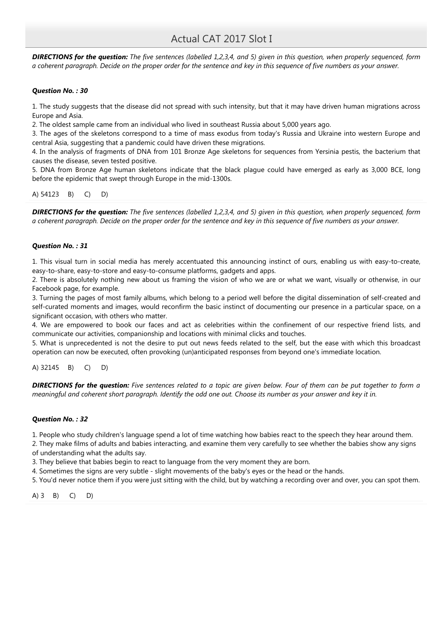**DIRECTIONS for the question:** The five sentences (labelled 1,2,3,4, and 5) given in this question, when properly sequenced, form a coherent paragraph. Decide on the proper order for the sentence and key in this sequence of five numbers as your answer.

## Question No. : 30

1. The study suggests that the disease did not spread with such intensity, but that it may have driven human migrations across Europe and Asia.

2. The oldest sample came from an individual who lived in southeast Russia about 5,000 years ago.

3. The ages of the skeletons correspond to a time of mass exodus from today's Russia and Ukraine into western Europe and central Asia, suggesting that a pandemic could have driven these migrations.

4. In the analysis of fragments of DNA from 101 Bronze Age skeletons for sequences from Yersinia pestis, the bacterium that causes the disease, seven tested positive.

5. DNA from Bronze Age human skeletons indicate that the black plague could have emerged as early as 3,000 BCE, long before the epidemic that swept through Europe in the mid-1300s.

## A) 54123 B) C) D)

**DIRECTIONS for the question:** The five sentences (labelled 1,2,3,4, and 5) given in this question, when properly sequenced, form a coherent paragraph. Decide on the proper order for the sentence and key in this sequence of five numbers as your answer.

## Question No. : 31

1. This visual turn in social media has merely accentuated this announcing instinct of ours, enabling us with easy-to-create, easy-to-share, easy-to-store and easy-to-consume platforms, gadgets and apps.

2. There is absolutely nothing new about us framing the vision of who we are or what we want, visually or otherwise, in our Facebook page, for example.

3. Turning the pages of most family albums, which belong to a period well before the digital dissemination of self-created and self-curated moments and images, would reconfirm the basic instinct of documenting our presence in a particular space, on a significant occasion, with others who matter.

4. We are empowered to book our faces and act as celebrities within the confinement of our respective friend lists, and communicate our activities, companionship and locations with minimal clicks and touches.

5. What is unprecedented is not the desire to put out news feeds related to the self, but the ease with which this broadcast operation can now be executed, often provoking (un)anticipated responses from beyond one's immediate location.

A) 32145 B) C) D)

**DIRECTIONS for the question:** Five sentences related to a topic are given below. Four of them can be put together to form a meaningful and coherent short paragraph. Identify the odd one out. Choose its number as your answer and key it in.

## Question No. : 32

1. People who study children's language spend a lot of time watching how babies react to the speech they hear around them.

2. They make films of adults and babies interacting, and examine them very carefully to see whether the babies show any signs of understanding what the adults say.

3. They believe that babies begin to react to language from the very moment they are born.

4. Sometimes the signs are very subtle - slight movements of the baby's eyes or the head or the hands.

5. You'd never notice them if you were just sitting with the child, but by watching a recording over and over, you can spot them.

A) 3 B) C) D)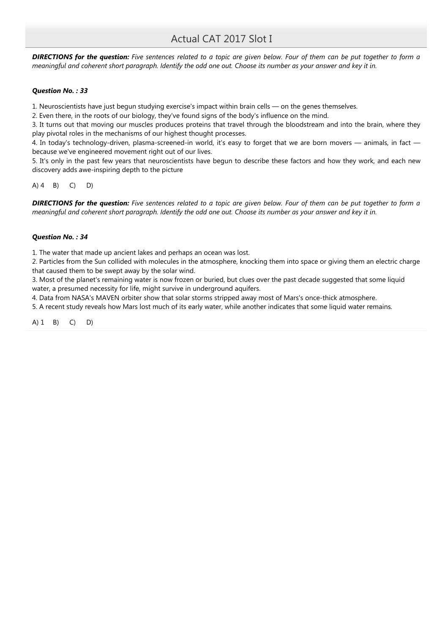**DIRECTIONS for the question:** Five sentences related to a topic are given below. Four of them can be put together to form a meaningful and coherent short paragraph. Identify the odd one out. Choose its number as your answer and key it in.

## Question No. : 33

1. Neuroscientists have just begun studying exercise's impact within brain cells — on the genes themselves.

2. Even there, in the roots of our biology, they've found signs of the body's influence on the mind.

3. It turns out that moving our muscles produces proteins that travel through the bloodstream and into the brain, where they play pivotal roles in the mechanisms of our highest thought processes.

4. In today's technology-driven, plasma-screened-in world, it's easy to forget that we are born movers — animals, in fact because we've engineered movement right out of our lives.

5. It's only in the past few years that neuroscientists have begun to describe these factors and how they work, and each new discovery adds awe-inspiring depth to the picture

A) 4 B) C) D)

**DIRECTIONS for the question:** Five sentences related to a topic are given below. Four of them can be put together to form a meaningful and coherent short paragraph. Identify the odd one out. Choose its number as your answer and key it in.

## Question No. : 34

1. The water that made up ancient lakes and perhaps an ocean was lost.

2. Particles from the Sun collided with molecules in the atmosphere, knocking them into space or giving them an electric charge that caused them to be swept away by the solar wind.

3. Most of the planet's remaining water is now frozen or buried, but clues over the past decade suggested that some liquid water, a presumed necessity for life, might survive in underground aquifers.

4. Data from NASA's MAVEN orbiter show that solar storms stripped away most of Mars's once-thick atmosphere.

5. A recent study reveals how Mars lost much of its early water, while another indicates that some liquid water remains.

A) 1 B) C) D)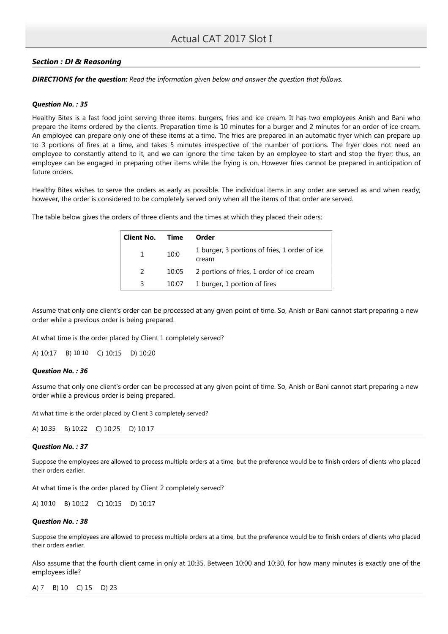# Section : DI & Reasoning

**DIRECTIONS for the question:** Read the information given below and answer the question that follows.

### Question No. : 35

Healthy Bites is a fast food joint serving three items: burgers, fries and ice cream. It has two employees Anish and Bani who prepare the items ordered by the clients. Preparation time is 10 minutes for a burger and 2 minutes for an order of ice cream. An employee can prepare only one of these items at a time. The fries are prepared in an automatic fryer which can prepare up to 3 portions of fires at a time, and takes 5 minutes irrespective of the number of portions. The fryer does not need an employee to constantly attend to it, and we can ignore the time taken by an employee to start and stop the fryer; thus, an employee can be engaged in preparing other items while the frying is on. However fries cannot be prepared in anticipation of future orders.

Healthy Bites wishes to serve the orders as early as possible. The individual items in any order are served as and when ready; however, the order is considered to be completely served only when all the items of that order are served.

The table below gives the orders of three clients and the times at which they placed their oders;

| Client No. | Time  | Order                                                  |
|------------|-------|--------------------------------------------------------|
| 1          | 10:0  | 1 burger, 3 portions of fries, 1 order of ice<br>cream |
| 2          | 10:05 | 2 portions of fries, 1 order of ice cream              |
| 3          | 10:07 | 1 burger, 1 portion of fires                           |

Assume that only one client's order can be processed at any given point of time. So, Anish or Bani cannot start preparing a new order while a previous order is being prepared.

At what time is the order placed by Client 1 completely served?

A) 10:17 B) 10:10 C) 10:15 D) 10:20

#### Question No. : 36

Assume that only one client's order can be processed at any given point of time. So, Anish or Bani cannot start preparing a new order while a previous order is being prepared.

At what time is the order placed by Client 3 completely served?

A) 10:35 B) 10:22 C) 10:25 D) 10:17

#### Question No. : 37

Suppose the employees are allowed to process multiple orders at a time, but the preference would be to finish orders of clients who placed their orders earlier.

At what time is the order placed by Client 2 completely served?

A) 10:10 B) 10:12 C) 10:15 D) 10:17

#### Question No. : 38

Suppose the employees are allowed to process multiple orders at a time, but the preference would be to finish orders of clients who placed their orders earlier.

Also assume that the fourth client came in only at 10:35. Between 10:00 and 10:30, for how many minutes is exactly one of the employees idle?

A) 7 B) 10 C) 15 D) 23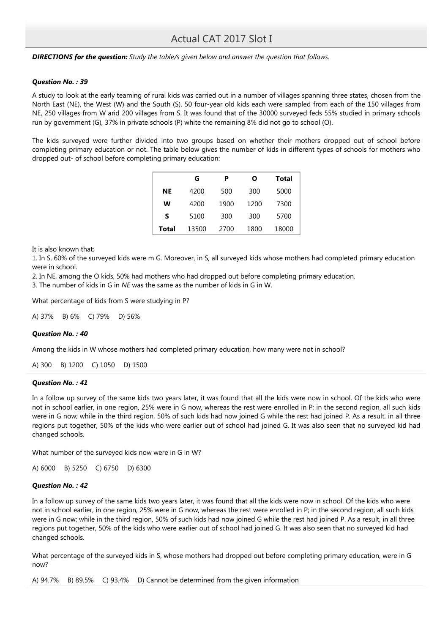### **DIRECTIONS for the question:** Study the table/s given below and answer the question that follows.

#### Question No. : 39

A study to look at the early teaming of rural kids was carried out in a number of villages spanning three states, chosen from the North East (NE), the West (W) and the South (S). 50 four-year old kids each were sampled from each of the 150 villages from NE, 250 villages from W arid 200 villages from S. It was found that of the 30000 surveyed feds 55% studied in primary schools run by government (G), 37% in private schools (P) white the remaining 8% did not go to school (O).

The kids surveyed were further divided into two groups based on whether their mothers dropped out of school before completing primary education or not. The table below gives the number of kids in different types of schools for mothers who dropped out- of school before completing primary education:

|           | G     | Р    | Ο    | Total |
|-----------|-------|------|------|-------|
| <b>NE</b> | 4200  | 500  | 300  | 5000  |
| w         | 4200  | 1900 | 1200 | 7300  |
| s         | 5100  | 300  | 300  | 5700  |
| Total     | 13500 | 2700 | 1800 | 18000 |

It is also known that:

1. In S, 60% of the surveyed kids were m G. Moreover, in S, all surveyed kids whose mothers had completed primary education were in school.

2. In NE, among the O kids, 50% had mothers who had dropped out before completing primary education.

3. The number of kids in G in NE was the same as the number of kids in G in W.

What percentage of kids from S were studying in P?

A) 37% B) 6% C) 79% D) 56%

#### Question No. : 40

Among the kids in W whose mothers had completed primary education, how many were not in school?

A) 300 B) 1200 C) 1050 D) 1500

#### Question No. : 41

In a follow up survey of the same kids two years later, it was found that all the kids were now in school. Of the kids who were not in school earlier, in one region, 25% were in G now, whereas the rest were enrolled in P; in the second region, all such kids were in G now; while in the third region, 50% of such kids had now joined G while the rest had joined P. As a result, in all three regions put together, 50% of the kids who were earlier out of school had joined G. It was also seen that no surveyed kid had changed schools.

What number of the surveyed kids now were in G in W?

A) 6000 B) 5250 C) 6750 D) 6300

#### Question No. : 42

In a follow up survey of the same kids two years later, it was found that all the kids were now in school. Of the kids who were not in school earlier, in one region, 25% were in G now, whereas the rest were enrolled in P; in the second region, all such kids were in G now; while in the third region, 50% of such kids had now joined G while the rest had joined P. As a result, in all three regions put together, 50% of the kids who were earlier out of school had joined G. It was also seen that no surveyed kid had changed schools.

What percentage of the surveyed kids in S, whose mothers had dropped out before completing primary education, were in G now?

A) 94.7% B) 89.5% C) 93.4% D) Cannot be determined from the given information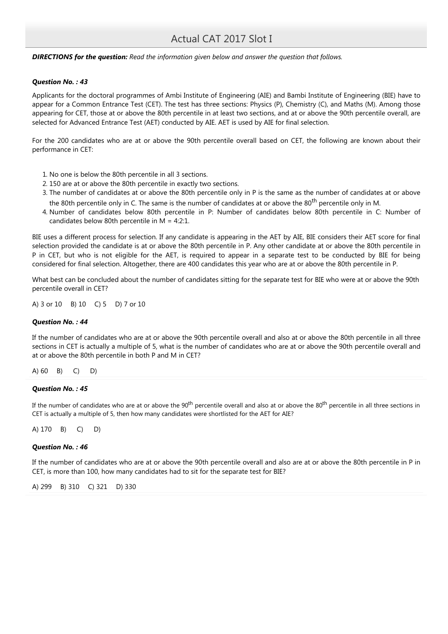### **DIRECTIONS for the question:** Read the information given below and answer the question that follows.

#### Question No. : 43

Applicants for the doctoral programmes of Ambi Institute of Engineering (AIE) and Bambi Institute of Engineering (BIE) have to appear for a Common Entrance Test (CET). The test has three sections: Physics (P), Chemistry (C), and Maths (M). Among those appearing for CET, those at or above the 80th percentile in at least two sections, and at or above the 90th percentile overall, are selected for Advanced Entrance Test (AET) conducted by AIE. AET is used by AIE for final selection.

For the 200 candidates who are at or above the 90th percentile overall based on CET, the following are known about their performance in CET:

- 1. No one is below the 80th percentile in all 3 sections.
- 2. 150 are at or above the 80th percentile in exactly two sections.
- 3. The number of candidates at or above the 80th percentile only in P is the same as the number of candidates at or above the 80th percentile only in C. The same is the number of candidates at or above the 80<sup>th</sup> percentile only in M.
- 4. Number of candidates below 80th percentile in P: Number of candidates below 80th percentile in C: Number of candidates below 80th percentile in M = 4:2:1.

BIE uses a different process for selection. If any candidate is appearing in the AET by AIE, BIE considers their AET score for final selection provided the candidate is at or above the 80th percentile in P. Any other candidate at or above the 80th percentile in P in CET, but who is not eligible for the AET, is required to appear in a separate test to be conducted by BIE for being considered for final selection. Altogether, there are 400 candidates this year who are at or above the 80th percentile in P.

What best can be concluded about the number of candidates sitting for the separate test for BIE who were at or above the 90th percentile overall in CET?

A) 3 or 10 B) 10 C) 5 D) 7 or 10

#### Question No. : 44

If the number of candidates who are at or above the 90th percentile overall and also at or above the 80th percentile in all three sections in CET is actually a multiple of 5, what is the number of candidates who are at or above the 90th percentile overall and at or above the 80th percentile in both P and M in CET?

#### A) 60 B) C) D)

#### Question No. : 45

If the number of candidates who are at or above the 90<sup>th</sup> percentile overall and also at or above the 80<sup>th</sup> percentile in all three sections in CET is actually a multiple of 5, then how many candidates were shortlisted for the AET for AIE?

A) 170 B) C) D)

#### Question No. : 46

If the number of candidates who are at or above the 90th percentile overall and also are at or above the 80th percentile in P in CET, is more than 100, how many candidates had to sit for the separate test for BIE?

A) 299 B) 310 C) 321 D) 330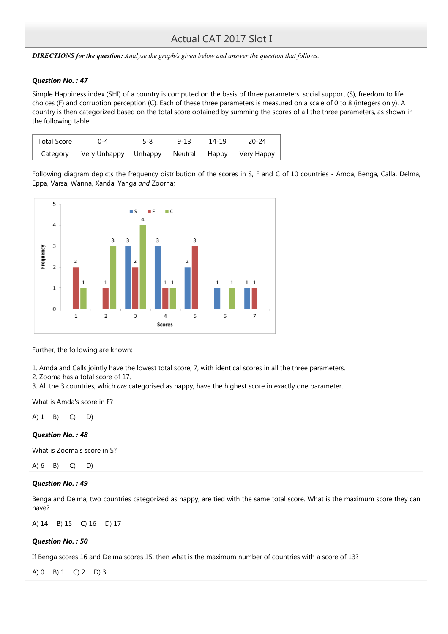*DIRECTIONS for the question: Analyse the graph/s given below and answer the question that follows.*

### Question No. : 47

Simple Happiness index (SHI) of a country is computed on the basis of three parameters: social support (S), freedom to life choices (F) and corruption perception (C). Each of these three parameters is measured on a scale of 0 to 8 (integers only). A country is then categorized based on the total score obtained by summing the scores of ail the three parameters, as shown in the following table:

| <b>Total Score</b> | $0 - 4$                      | $5-8$ | $9 - 13$ | 14-19 | 20-24      |
|--------------------|------------------------------|-------|----------|-------|------------|
| Category           | Very Unhappy Unhappy Neutral |       |          | Happy | Very Happy |

Following diagram depicts the frequency distribution of the scores in S, F and C of 10 countries - Amda, Benga, Calla, Delma, Eppa, Varsa, Wanna, Xanda, Yanga and Zoorna;



Further, the following are known:

1. Amda and Calls jointly have the lowest total score, 7, with identical scores in all the three parameters.

2. Zooma has a total score of 17.

3. All the 3 countries, which are categorised as happy, have the highest score in exactly one parameter.

What is Amda's score in F?

A) 1 B) C) D)

#### Question No. : 48

What is Zooma's score in S?

A) 6 B) C) D)

#### Question No. : 49

Benga and Delma, two countries categorized as happy, are tied with the same total score. What is the maximum score they can have?

A) 14 B) 15 C) 16 D) 17

## Question No. : 50

If Benga scores 16 and Delma scores 15, then what is the maximum number of countries with a score of 13?

A) 0 B) 1 C) 2 D) 3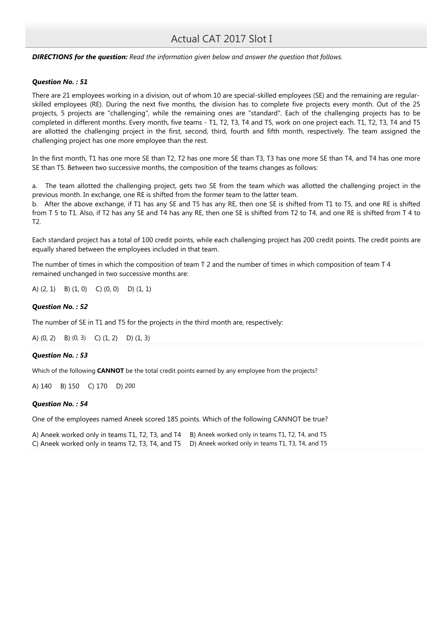### **DIRECTIONS for the question:** Read the information given below and answer the question that follows.

#### Question No. : 51

There are 21 employees working in a division, out of whom 10 are special-skilled employees (SE) and the remaining are regularskilled employees (RE). During the next five months, the division has to complete five projects every month. Out of the 25 projects, 5 projects are "challenging", while the remaining ones are "standard". Each of the challenging projects has to be completed in different months. Every month, five teams - T1, T2, T3, T4 and T5, work on one project each. T1, T2, T3, T4 and T5 are allotted the challenging project in the first, second, third, fourth and fifth month, respectively. The team assigned the challenging project has one more employee than the rest.

In the first month, T1 has one more SE than T2, T2 has one more SE than T3, T3 has one more SE than T4, and T4 has one more SE than T5. Between two successive months, the composition of the teams changes as follows:

a. The team allotted the challenging project, gets two SE from the team which was allotted the challenging project in the previous month. In exchange, one RE is shifted from the former team to the latter team.

b. After the above exchange, if T1 has any SE and T5 has any RE, then one SE is shifted from T1 to T5, and one RE is shifted from T 5 to T1. Also, if T2 has any SE and T4 has any RE, then one SE is shifted from T2 to T4, and one RE is shifted from T 4 to T2.

Each standard project has a total of 100 credit points, while each challenging project has 200 credit points. The credit points are equally shared between the employees included in that team.

The number of times in which the composition of team T 2 and the number of times in which composition of team T 4 remained unchanged in two successive months are:

A) (2, 1) B) (1, 0) C) (0, 0) D) (1, 1)

#### Question No. : 52

The number of SE in T1 and T5 for the projects in the third month are, respectively:

A) (0, 2) B) (0, 3) C) (1, 2) D) (1, 3)

#### Question No. : 53

Which of the following **CANNOT** be the total credit points earned by any employee from the projects?

A) 140 B) 150 C) 170 D) 200

#### Question No. : 54

One of the employees named Aneek scored 185 points. Which of the following CANNOT be true?

| A) Aneek worked only in teams T1, T2, T3, and T4 B) Aneek worked only in teams T1, T2, T4, and T5 |  |
|---------------------------------------------------------------------------------------------------|--|
| C) Aneek worked only in teams T2, T3, T4, and T5 D) Aneek worked only in teams T1, T3, T4, and T5 |  |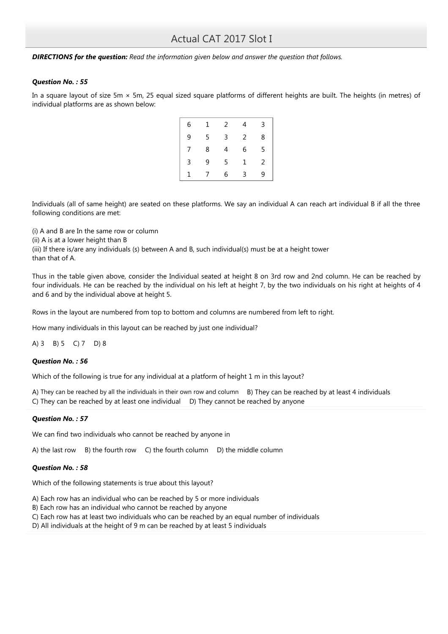**DIRECTIONS for the question:** Read the information given below and answer the question that follows.

### Question No. : 55

In a square layout of size 5m  $\times$  5m, 25 equal sized square platforms of different heights are built. The heights (in metres) of individual platforms are as shown below:

| 6 | 1 | 2 | 4 | 3 |
|---|---|---|---|---|
| 9 | 5 | 3 | 2 | 8 |
| 7 | 8 | 4 | 6 | 5 |
| 3 | 9 | 5 | 1 | 2 |
| 1 | 7 | 6 | 3 | 9 |

Individuals (all of same height) are seated on these platforms. We say an individual A can reach art individual B if all the three following conditions are met:

(i) A and B are In the same row or column

(ii) A is at a lower height than B

(iii) If there is/are any individuals (s) between A and B, such individual(s) must be at a height tower than that of A.

Thus in the table given above, consider the Individual seated at height 8 on 3rd row and 2nd column. He can be reached by four individuals. He can be reached by the individual on his left at height 7, by the two individuals on his right at heights of 4 and 6 and by the individual above at height 5.

Rows in the layout are numbered from top to bottom and columns are numbered from left to right.

How many individuals in this layout can be reached by just one individual?

A) 3 B) 5 C) 7 D) 8

## Question No. : 56

Which of the following is true for any individual at a platform of height 1 m in this layout?

A) They can be reached by all the individuals in their own row and column B) They can be reached by at least 4 individuals C) They can be reached by at least one individual D) They cannot be reached by anyone

#### Question No. : 57

We can find two individuals who cannot be reached by anyone in

A) the last row B) the fourth row C) the fourth column D) the middle column

## Question No. : 58

Which of the following statements is true about this layout?

- A) Each row has an individual who can be reached by 5 or more individuals
- B) Each row has an individual who cannot be reached by anyone
- C) Each row has at least two individuals who can be reached by an equal number of individuals
- D) All individuals at the height of 9 m can be reached by at least 5 individuals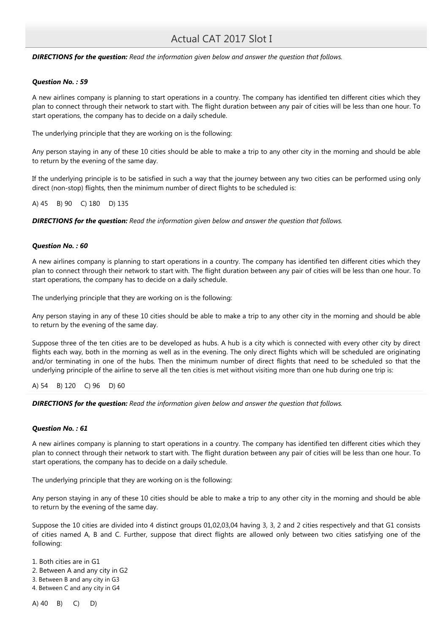## **DIRECTIONS for the question:** Read the information given below and answer the question that follows.

#### Question No. : 59

A new airlines company is planning to start operations in a country. The company has identified ten different cities which they plan to connect through their network to start with. The flight duration between any pair of cities will be less than one hour. To start operations, the company has to decide on a daily schedule.

The underlying principle that they are working on is the following:

Any person staying in any of these 10 cities should be able to make a trip to any other city in the morning and should be able to return by the evening of the same day.

If the underlying principle is to be satisfied in such a way that the journey between any two cities can be performed using only direct (non-stop) flights, then the minimum number of direct flights to be scheduled is:

A) 45 B) 90 C) 180 D) 135

**DIRECTIONS for the question:** Read the information given below and answer the question that follows.

### Question No. : 60

A new airlines company is planning to start operations in a country. The company has identified ten different cities which they plan to connect through their network to start with. The flight duration between any pair of cities will be less than one hour. To start operations, the company has to decide on a daily schedule.

The underlying principle that they are working on is the following:

Any person staying in any of these 10 cities should be able to make a trip to any other city in the morning and should be able to return by the evening of the same day.

Suppose three of the ten cities are to be developed as hubs. A hub is a city which is connected with every other city by direct flights each way, both in the morning as well as in the evening. The only direct flights which will be scheduled are originating and/or terminating in one of the hubs. Then the minimum number of direct flights that need to be scheduled so that the underlying principle of the airline to serve all the ten cities is met without visiting more than one hub during one trip is:

A) 54 B) 120 C) 96 D) 60

**DIRECTIONS for the question:** Read the information given below and answer the question that follows.

#### Question No. : 61

A new airlines company is planning to start operations in a country. The company has identified ten different cities which they plan to connect through their network to start with. The flight duration between any pair of cities will be less than one hour. To start operations, the company has to decide on a daily schedule.

The underlying principle that they are working on is the following:

Any person staying in any of these 10 cities should be able to make a trip to any other city in the morning and should be able to return by the evening of the same day.

Suppose the 10 cities are divided into 4 distinct groups 01,02,03,04 having 3, 3, 2 and 2 cities respectively and that G1 consists of cities named A, B and C. Further, suppose that direct flights are allowed only between two cities satisfying one of the following:

1. Both cities are in G1

- 2. Between A and any city in G2
- 3. Between B and any city in G3
- 4. Between C and any city in G4

A) 40 B) C) D)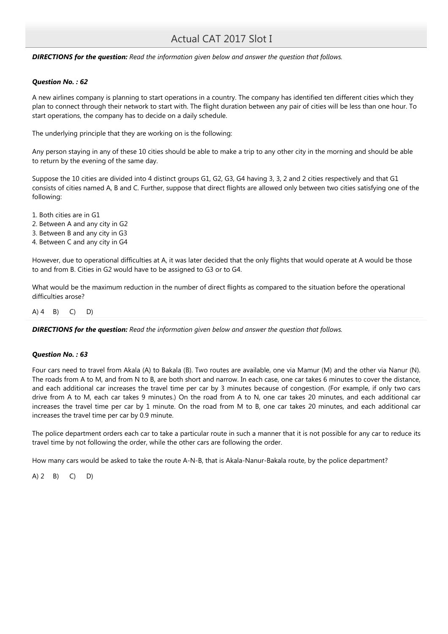### **DIRECTIONS for the question:** Read the information given below and answer the question that follows.

#### Question No. : 62

A new airlines company is planning to start operations in a country. The company has identified ten different cities which they plan to connect through their network to start with. The flight duration between any pair of cities will be less than one hour. To start operations, the company has to decide on a daily schedule.

The underlying principle that they are working on is the following:

Any person staying in any of these 10 cities should be able to make a trip to any other city in the morning and should be able to return by the evening of the same day.

Suppose the 10 cities are divided into 4 distinct groups G1, G2, G3, G4 having 3, 3, 2 and 2 cities respectively and that G1 consists of cities named A, B and C. Further, suppose that direct flights are allowed only between two cities satisfying one of the following:

- 1. Both cities are in G1
- 2. Between A and any city in G2
- 3. Between B and any city in G3
- 4. Between C and any city in G4

However, due to operational difficulties at A, it was later decided that the only flights that would operate at A would be those to and from B. Cities in G2 would have to be assigned to G3 or to G4.

What would be the maximum reduction in the number of direct flights as compared to the situation before the operational difficulties arose?

 $(A)$  4 B) C) D)

**DIRECTIONS for the question:** Read the information given below and answer the question that follows.

## Question No. : 63

Four cars need to travel from Akala (A) to Bakala (B). Two routes are available, one via Mamur (M) and the other via Nanur (N). The roads from A to M, and from N to B, are both short and narrow. In each case, one car takes 6 minutes to cover the distance, and each additional car increases the travel time per car by 3 minutes because of congestion. (For example, if only two cars drive from A to M, each car takes 9 minutes.) On the road from A to N, one car takes 20 minutes, and each additional car increases the travel time per car by 1 minute. On the road from M to B, one car takes 20 minutes, and each additional car increases the travel time per car by 0.9 minute.

The police department orders each car to take a particular route in such a manner that it is not possible for any car to reduce its travel time by not following the order, while the other cars are following the order.

How many cars would be asked to take the route A-N-B, that is Akala-Nanur-Bakala route, by the police department?

A) 2 B) C) D)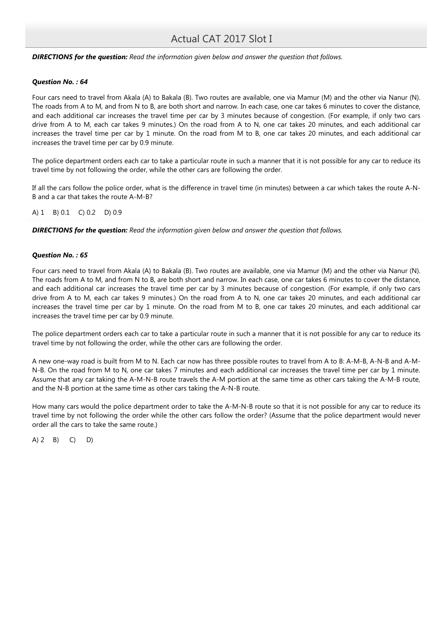## **DIRECTIONS for the question:** Read the information given below and answer the question that follows.

### Question No. : 64

Four cars need to travel from Akala (A) to Bakala (B). Two routes are available, one via Mamur (M) and the other via Nanur (N). The roads from A to M, and from N to B, are both short and narrow. In each case, one car takes 6 minutes to cover the distance, and each additional car increases the travel time per car by 3 minutes because of congestion. (For example, if only two cars drive from A to M, each car takes 9 minutes.) On the road from A to N, one car takes 20 minutes, and each additional car increases the travel time per car by 1 minute. On the road from M to B, one car takes 20 minutes, and each additional car increases the travel time per car by 0.9 minute.

The police department orders each car to take a particular route in such a manner that it is not possible for any car to reduce its travel time by not following the order, while the other cars are following the order.

If all the cars follow the police order, what is the difference in travel time (in minutes) between a car which takes the route A-N-B and a car that takes the route A-M-B?

# A) 1 B) 0.1 C) 0.2 D) 0.9

**DIRECTIONS for the question:** Read the information given below and answer the question that follows.

### Question No. : 65

Four cars need to travel from Akala (A) to Bakala (B). Two routes are available, one via Mamur (M) and the other via Nanur (N). The roads from A to M, and from N to B, are both short and narrow. In each case, one car takes 6 minutes to cover the distance, and each additional car increases the travel time per car by 3 minutes because of congestion. (For example, if only two cars drive from A to M, each car takes 9 minutes.) On the road from A to N, one car takes 20 minutes, and each additional car increases the travel time per car by 1 minute. On the road from M to B, one car takes 20 minutes, and each additional car increases the travel time per car by 0.9 minute.

The police department orders each car to take a particular route in such a manner that it is not possible for any car to reduce its travel time by not following the order, while the other cars are following the order.

A new one-way road is built from M to N. Each car now has three possible routes to travel from A to B: A-M-B, A-N-B and A-M-N-B. On the road from M to N, one car takes 7 minutes and each additional car increases the travel time per car by 1 minute. Assume that any car taking the A-M-N-B route travels the A-M portion at the same time as other cars taking the A-M-B route, and the N-B portion at the same time as other cars taking the A-N-B route.

How many cars would the police department order to take the A-M-N-B route so that it is not possible for any car to reduce its travel time by not following the order while the other cars follow the order? (Assume that the police department would never order all the cars to take the same route.)

A) 2 B) C) D)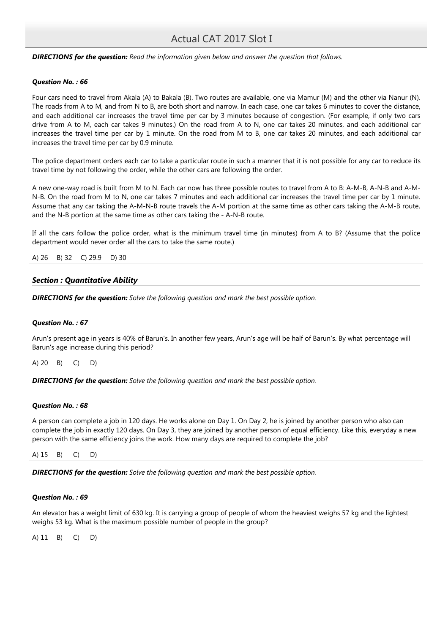### **DIRECTIONS for the question:** Read the information given below and answer the question that follows.

#### Question No. : 66

Four cars need to travel from Akala (A) to Bakala (B). Two routes are available, one via Mamur (M) and the other via Nanur (N). The roads from A to M, and from N to B, are both short and narrow. In each case, one car takes 6 minutes to cover the distance, and each additional car increases the travel time per car by 3 minutes because of congestion. (For example, if only two cars drive from A to M, each car takes 9 minutes.) On the road from A to N, one car takes 20 minutes, and each additional car increases the travel time per car by 1 minute. On the road from M to B, one car takes 20 minutes, and each additional car increases the travel time per car by 0.9 minute.

The police department orders each car to take a particular route in such a manner that it is not possible for any car to reduce its travel time by not following the order, while the other cars are following the order.

A new one-way road is built from M to N. Each car now has three possible routes to travel from A to B: A-M-B, A-N-B and A-M-N-B. On the road from M to N, one car takes 7 minutes and each additional car increases the travel time per car by 1 minute. Assume that any car taking the A-M-N-B route travels the A-M portion at the same time as other cars taking the A-M-B route, and the N-B portion at the same time as other cars taking the - A-N-B route.

If all the cars follow the police order, what is the minimum travel time (in minutes) from A to B? (Assume that the police department would never order all the cars to take the same route.)

A) 26 B) 32 C) 29.9 D) 30

## Section : Quantitative Ability

**DIRECTIONS for the question:** Solve the following question and mark the best possible option.

#### Question No. : 67

Arun's present age in years is 40% of Barun's. In another few years, Arun's age will be half of Barun's. By what percentage will Barun's age increase during this period?

A) 20 B) C) D)

**DIRECTIONS for the question:** Solve the following question and mark the best possible option.

#### Question No. : 68

A person can complete a job in 120 days. He works alone on Day 1. On Day 2, he is joined by another person who also can complete the job in exactly 120 days. On Day 3, they are joined by another person of equal efficiency. Like this, everyday a new person with the same efficiency joins the work. How many days are required to complete the job?

A) 15 B) C) D)

**DIRECTIONS for the question:** Solve the following question and mark the best possible option.

#### Question No. : 69

An elevator has a weight limit of 630 kg. It is carrying a group of people of whom the heaviest weighs 57 kg and the lightest weighs 53 kg. What is the maximum possible number of people in the group?

A) 11 B) C) D)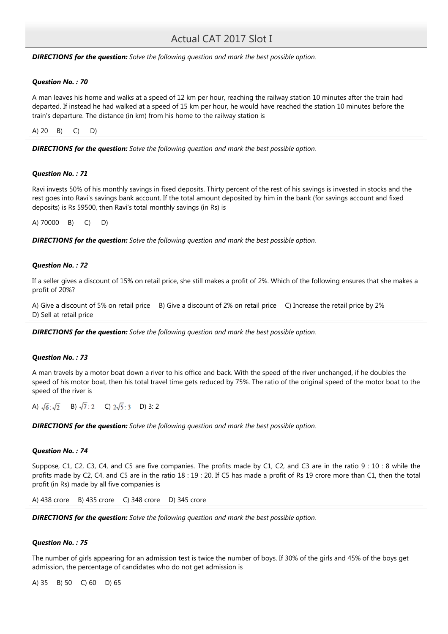## **DIRECTIONS for the question:** Solve the following question and mark the best possible option.

### Question No. : 70

A man leaves his home and walks at a speed of 12 km per hour, reaching the railway station 10 minutes after the train had departed. If instead he had walked at a speed of 15 km per hour, he would have reached the station 10 minutes before the train's departure. The distance (in km) from his home to the railway station is

A) 20 B) C) D)

**DIRECTIONS for the question:** Solve the following question and mark the best possible option.

### Question No. : 71

Ravi invests 50% of his monthly savings in fixed deposits. Thirty percent of the rest of his savings is invested in stocks and the rest goes into Ravi's savings bank account. If the total amount deposited by him in the bank (for savings account and fixed deposits) is Rs 59500, then Ravi's total monthly savings (in Rs) is

A) 70000 B) C) D)

**DIRECTIONS for the question:** Solve the following question and mark the best possible option.

### Question No. : 72

If a seller gives a discount of 15% on retail price, she still makes a profit of 2%. Which of the following ensures that she makes a profit of 20%?

A) Give a discount of 5% on retail price B) Give a discount of 2% on retail price C) Increase the retail price by 2% D) Sell at retail price

**DIRECTIONS for the question:** Solve the following question and mark the best possible option.

#### Question No. : 73

A man travels by a motor boat down a river to his office and back. With the speed of the river unchanged, if he doubles the speed of his motor boat, then his total travel time gets reduced by 75%. The ratio of the original speed of the motor boat to the speed of the river is

A)  $\sqrt{6}$ ;  $\sqrt{2}$  B)  $\sqrt{7}$ : 2 C)  $2\sqrt{5}$ : 3 D) 3: 2

**DIRECTIONS for the question:** Solve the following question and mark the best possible option.

#### Question No. : 74

Suppose, C1, C2, C3, C4, and C5 are five companies. The profits made by C1, C2, and C3 are in the ratio 9 : 10 : 8 while the profits made by C2, C4, and C5 are in the ratio 18 : 19 : 20. If C5 has made a profit of Rs 19 crore more than C1, then the total profit (in Rs) made by all five companies is

A) 438 crore B) 435 crore C) 348 crore D) 345 crore

**DIRECTIONS for the question:** Solve the following question and mark the best possible option.

#### Question No. : 75

The number of girls appearing for an admission test is twice the number of boys. If 30% of the girls and 45% of the boys get admission, the percentage of candidates who do not get admission is

A) 35 B) 50 C) 60 D) 65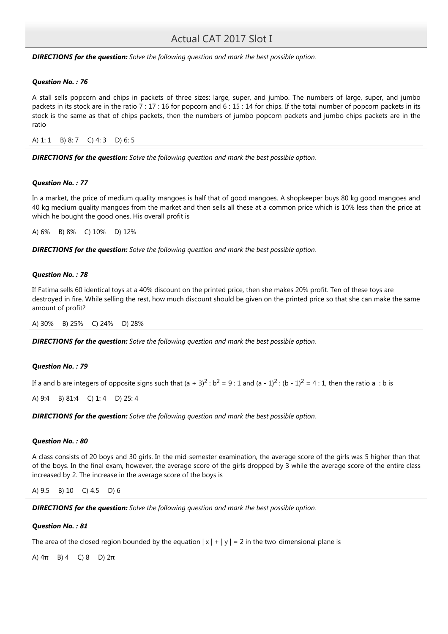### **DIRECTIONS for the question:** Solve the following question and mark the best possible option.

#### Question No. : 76

A stall sells popcorn and chips in packets of three sizes: large, super, and jumbo. The numbers of large, super, and jumbo packets in its stock are in the ratio 7 : 17 : 16 for popcorn and 6 : 15 : 14 for chips. If the total number of popcorn packets in its stock is the same as that of chips packets, then the numbers of jumbo popcorn packets and jumbo chips packets are in the ratio

#### A) 1: 1 B) 8: 7 C) 4: 3 D) 6: 5

**DIRECTIONS for the question:** Solve the following question and mark the best possible option.

### Question No. : 77

In a market, the price of medium quality mangoes is half that of good mangoes. A shopkeeper buys 80 kg good mangoes and 40 kg medium quality mangoes from the market and then sells all these at a common price which is 10% less than the price at which he bought the good ones. His overall profit is

A) 6% B) 8% C) 10% D) 12%

**DIRECTIONS for the question:** Solve the following question and mark the best possible option.

### Question No. : 78

If Fatima sells 60 identical toys at a 40% discount on the printed price, then she makes 20% profit. Ten of these toys are destroyed in fire. While selling the rest, how much discount should be given on the printed price so that she can make the same amount of profit?

A) 30% B) 25% C) 24% D) 28%

**DIRECTIONS for the question:** Solve the following question and mark the best possible option.

## Question No. : 79

If a and b are integers of opposite signs such that  $(a + 3)^2 : b^2 = 9 : 1$  and  $(a - 1)^2 : (b - 1)^2 = 4 : 1$ , then the ratio a : b is

A) 9:4 B) 81:4 C) 1: 4 D) 25: 4

**DIRECTIONS for the question:** Solve the following question and mark the best possible option.

#### Question No. : 80

A class consists of 20 boys and 30 girls. In the mid-semester examination, the average score of the girls was 5 higher than that of the boys. In the final exam, however, the average score of the girls dropped by 3 while the average score of the entire class increased by 2. The increase in the average score of the boys is

A) 9.5 B) 10 C) 4.5 D) 6

**DIRECTIONS for the question:** Solve the following question and mark the best possible option.

#### Question No. : 81

The area of the closed region bounded by the equation  $|x| + |y| = 2$  in the two-dimensional plane is

A) 4π B) 4 C) 8 D) 2π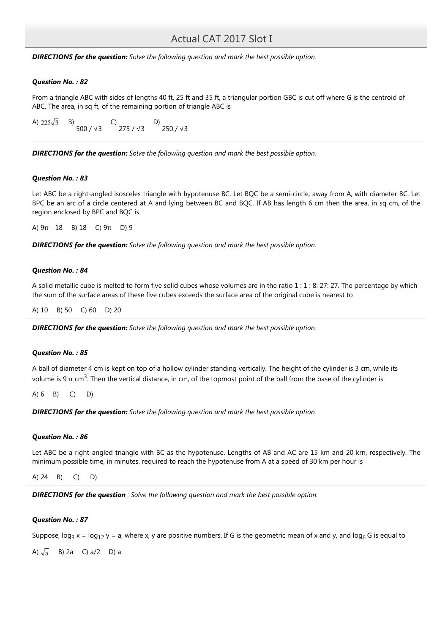**DIRECTIONS for the question:** Solve the following question and mark the best possible option.

## Question No. : 82

From a triangle ABC with sides of lengths 40 ft, 25 ft and 35 ft, a triangular portion GBC is cut off where G is the centroid of ABC. The area, in sq ft, of the remaining portion of triangle ABC is

```
A) 225\sqrt{3}500 / √3
                C)
                   275 / √3
                               D)
                                  250 / √3
```
**DIRECTIONS for the question:** Solve the following question and mark the best possible option.

#### Question No. : 83

Let ABC be a right-angled isosceles triangle with hypotenuse BC. Let BQC be a semi-circle, away from A, with diameter BC. Let BPC be an arc of a circle centered at A and lying between BC and BQC. If AB has length 6 cm then the area, in sq cm, of the region enclosed by BPC and BQC is

A) 9π - 18 B) 18 C) 9π D) 9

**DIRECTIONS for the question:** Solve the following question and mark the best possible option.

### Question No. : 84

A solid metallic cube is melted to form five solid cubes whose volumes are in the ratio  $1:1:8:27:27$ . The percentage by which the sum of the surface areas of these five cubes exceeds the surface area of the original cube is nearest to

A) 10 B) 50 C) 60 D) 20

**DIRECTIONS for the question:** Solve the following question and mark the best possible option.

#### Question No. : 85

A ball of diameter 4 cm is kept on top of a hollow cylinder standing vertically. The height of the cylinder is 3 cm, while its volume is 9 π cm<sup>3</sup>. Then the vertical distance, in cm, of the topmost point of the ball from the base of the cylinder is

A) 6 B) C) D)

**DIRECTIONS for the question:** Solve the following question and mark the best possible option.

#### Question No. : 86

Let ABC be a right-angled triangle with BC as the hypotenuse. Lengths of AB and AC are 15 km and 20 krn, respectively. The minimum possible time, in minutes, required to reach the hypotenuse from A at a speed of 30 km per hour is

#### A) 24 B) C) D)

**DIRECTIONS for the question** : Solve the following question and mark the best possible option.

#### Question No. : 87

Suppose, log<sub>3</sub> x = log<sub>12</sub> y = a, where x, y are positive numbers. If G is the geometric mean of x and y, and log<sub>6</sub> G is equal to

A)  $\sqrt{a}$  B) 2a C) a/2 D) a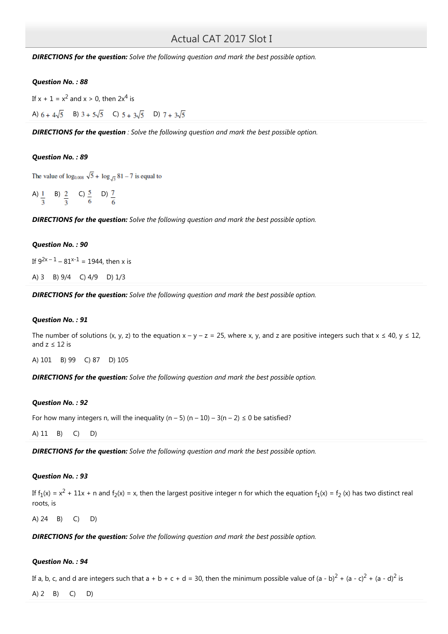**DIRECTIONS for the question:** Solve the following question and mark the best possible option.

#### Question No. : 88

A)  $6 + 4\sqrt{5}$  B)  $3 + 5\sqrt{5}$  C)  $5 + 3\sqrt{5}$  D)  $7 + 3\sqrt{5}$ If  $x + 1 = x^2$  and  $x > 0$ , then  $2x^4$  is

**DIRECTIONS for the question** : Solve the following question and mark the best possible option.

#### Question No. : 89

The value of  $\log_{0.008} \sqrt{5} + \log_{\sqrt{3}} 81 - 7$  is equal to

A)  $\frac{1}{3}$  B)  $\frac{2}{3}$  C)  $\frac{5}{6}$  D)  $\frac{7}{6}$ 

**DIRECTIONS for the question:** Solve the following question and mark the best possible option.

#### Question No. : 90

If  $9^{2x-1} - 81^{x-1} = 1944$ , then x is

A) 3 B) 9/4 C) 4/9 D) 1/3

**DIRECTIONS for the question:** Solve the following question and mark the best possible option.

#### Question No. : 91

The number of solutions (x, y, z) to the equation  $x - y - z = 25$ , where x, y, and z are positive integers such that  $x \le 40$ ,  $y \le 12$ , and  $z \leq 12$  is

A) 101 B) 99 C) 87 D) 105

**DIRECTIONS for the question:** Solve the following question and mark the best possible option.

#### Question No. : 92

For how many integers n, will the inequality (n – 5) (n – 10) – 3(n – 2)  $\leq$  0 be satisfied?

A) 11 B) C) D)

**DIRECTIONS for the question:** Solve the following question and mark the best possible option.

#### Question No. : 93

If  $f_1(x) = x^2 + 11x + n$  and  $f_2(x) = x$ , then the largest positive integer n for which the equation  $f_1(x) = f_2(x)$  has two distinct real roots, is

A) 24 B) C) D)

**DIRECTIONS for the question:** Solve the following question and mark the best possible option.

#### Question No. : 94

If a, b, c, and d are integers such that a + b + c + d = 30, then the minimum possible value of (a - b)<sup>2</sup> + (a - c)<sup>2</sup> + (a - d)<sup>2</sup> is

A) 2 B) C) D)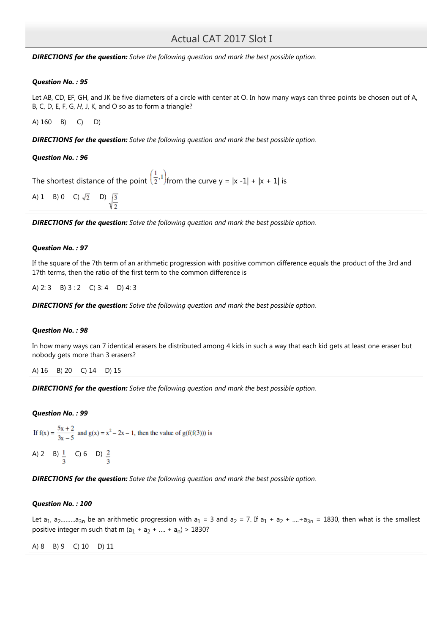**DIRECTIONS for the question:** Solve the following question and mark the best possible option.

#### Question No. : 95

Let AB, CD, EF, GH, and JK be five diameters of a circle with center at O. In how many ways can three points be chosen out of A, B, C, D, E, F, G, H, J, K, and O so as to form a triangle?

A) 160 B) C) D)

**DIRECTIONS for the question:** Solve the following question and mark the best possible option.

## Question No. : 96

The shortest distance of the point  $\left(\frac{1}{2},1\right)$  from the curve y = |x -1| + |x + 1| is

A) 1 B) 0 C)  $\sqrt{2}$  D)  $\sqrt{\frac{3}{2}}$ 

**DIRECTIONS for the question:** Solve the following question and mark the best possible option.

#### Question No. : 97

If the square of the 7th term of an arithmetic progression with positive common difference equals the product of the 3rd and 17th terms, then the ratio of the first term to the common difference is

A) 2: 3 B) 3 : 2 C) 3: 4 D) 4: 3

**DIRECTIONS for the question:** Solve the following question and mark the best possible option.

#### Question No. : 98

In how many ways can 7 identical erasers be distributed among 4 kids in such a way that each kid gets at least one eraser but nobody gets more than 3 erasers?

A) 16 B) 20 C) 14 D) 15

**DIRECTIONS for the question:** Solve the following question and mark the best possible option.

#### Question No. : 99

If  $f(x) = \frac{5x + 2}{3x - 5}$  and  $g(x) = x^2 - 2x - 1$ , then the value of  $g(f(f(3)))$  is A) 2 B)  $\frac{1}{3}$  C) 6 D)  $\frac{2}{3}$ 

**DIRECTIONS for the question:** Solve the following question and mark the best possible option.

#### Question No. : 100

Let  $a_1$ ,  $a_2$ ,........ $a_{3n}$  be an arithmetic progression with  $a_1 = 3$  and  $a_2 = 7$ . If  $a_1 + a_2 + ... + a_{3n} = 1830$ , then what is the smallest positive integer m such that m  $(a_1 + a_2 + ... + a_n) > 1830$ ?

A) 8 B) 9 C) 10 D) 11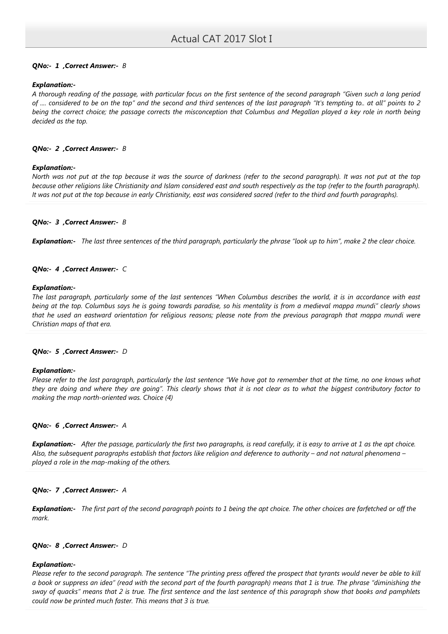# QNo:- 1, Correct Answer:- B

## Explanation:-

A thorough reading of the passage, with particular focus on the first sentence of the second paragraph "Given such a long period of .... considered to be on the top" and the second and third sentences of the last paragraph "It's tempting to.. at all" points to 2 being the correct choice; the passage corrects the misconception that Columbus and Megallan played a key role in north being decided as the top.

## QNo:- 2, Correct Answer:- B

## Explanation:-

North was not put at the top because it was the source of darkness (refer to the second paragraph). It was not put at the top because other religions like Christianity and Islam considered east and south respectively as the top (refer to the fourth paragraph). It was not put at the top because in early Christianity, east was considered sacred (refer to the third and fourth paragraphs).

### QNo:- 3 , Correct Answer:- B

Explanation:- The last three sentences of the third paragraph, particularly the phrase "look up to him", make 2 the clear choice.

### QNo:- 4, Correct Answer:- C

### Explanation:-

The last paragraph, particularly some of the last sentences "When Columbus describes the world, it is in accordance with east being at the top. Columbus says he is going towards paradise, so his mentality is from a medieval mappa mundi" clearly shows that he used an eastward orientation for religious reasons; please note from the previous paragraph that mappa mundi were Christian maps of that era.

## QNo:- 5, Correct Answer:- D

#### Explanation:-

Please refer to the last paragraph, particularly the last sentence "We have got to remember that at the time, no one knows what they are doing and where they are going". This clearly shows that it is not clear as to what the biggest contributory factor to making the map north-oriented was. Choice (4)

#### QNo:- 6, Correct Answer:- A

**Explanation:-** After the passage, particularly the first two paragraphs, is read carefully, it is easy to arrive at 1 as the apt choice. Also, the subsequent paragraphs establish that factors like religion and deference to authority – and not natural phenomena – played a role in the map-making of the others.

## QNo:- 7 ,Correct Answer:- A

**Explanation:-** The first part of the second paragraph points to 1 being the apt choice. The other choices are farfetched or off the mark.

#### QNo:- 8, Correct Answer:- D

## Explanation:-

Please refer to the second paragraph. The sentence "The printing press offered the prospect that tyrants would never be able to kill a book or suppress an idea" (read with the second part of the fourth paragraph) means that 1 is true. The phrase "diminishing the sway of quacks" means that 2 is true. The first sentence and the last sentence of this paragraph show that books and pamphlets could now be printed much faster. This means that 3 is true.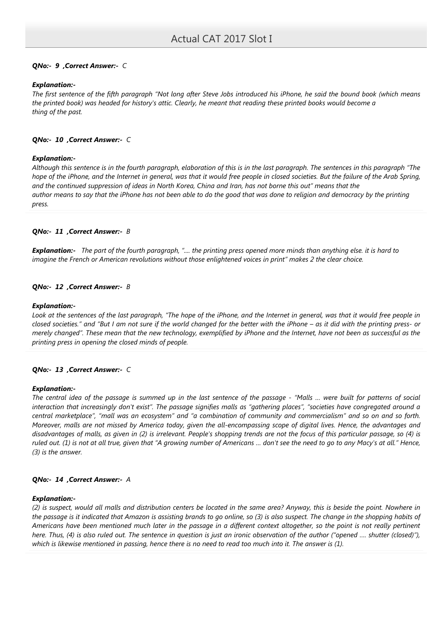# QNo:- 9, Correct Answer:- C

## Explanation:-

The first sentence of the fifth paragraph "Not long after Steve Jobs introduced his iPhone, he said the bound book (which means the printed book) was headed for history's attic. Clearly, he meant that reading these printed books would become a thing of the past.

## QNo:- 10 ,Correct Answer:- C

### Explanation:-

Although this sentence is in the fourth paragraph, elaboration of this is in the last paragraph. The sentences in this paragraph "The hope of the iPhone, and the Internet in general, was that it would free people in closed societies. But the failure of the Arab Spring, and the continued suppression of ideas in North Korea, China and Iran, has not borne this out" means that the author means to say that the iPhone has not been able to do the good that was done to religion and democracy by the printing press.

### QNo:- 11 ,Correct Answer:- B

Explanation:- The part of the fourth paragraph, ".... the printing press opened more minds than anything else. it is hard to imagine the French or American revolutions without those enlightened voices in print" makes 2 the clear choice.

### QNo:- 12 ,Correct Answer:- B

#### Explanation:-

Look at the sentences of the last paragraph, "The hope of the iPhone, and the Internet in general, was that it would free people in closed societies." and "But I am not sure if the world changed for the better with the iPhone – as it did with the printing press- or merely changed". These mean that the new technology, exemplified by iPhone and the Internet, have not been as successful as the printing press in opening the closed minds of people.

## QNo:- 13 ,Correct Answer:- C

#### Explanation:-

The central idea of the passage is summed up in the last sentence of the passage - "Malls … were built for patterns of social interaction that increasingly don't exist". The passage signifies malls as "gathering places", "societies have congregated around a central marketplace", "mall was an ecosystem" and "a combination of community and commercialism" and so on and so forth. Moreover, malls are not missed by America today, given the all-encompassing scope of digital lives. Hence, the advantages and disadvantages of malls, as given in (2) is irrelevant. People's shopping trends are not the focus of this particular passage, so (4) is ruled out. (1) is not at all true, given that "A growing number of Americans … don't see the need to go to any Macy's at all." Hence, (3) is the answer.

### QNo:- 14 , Correct Answer:- A

#### Explanation:-

(2) is suspect, would all malls and distribution centers be located in the same area? Anyway, this is beside the point. Nowhere in the passage is it indicated that Amazon is assisting brands to go online, so (3) is also suspect. The change in the shopping habits of Americans have been mentioned much later in the passage in a different context altogether, so the point is not really pertinent here. Thus, (4) is also ruled out. The sentence in question is just an ironic observation of the author ("opened .... shutter (closed)"), which is likewise mentioned in passing, hence there is no need to read too much into it. The answer is (1).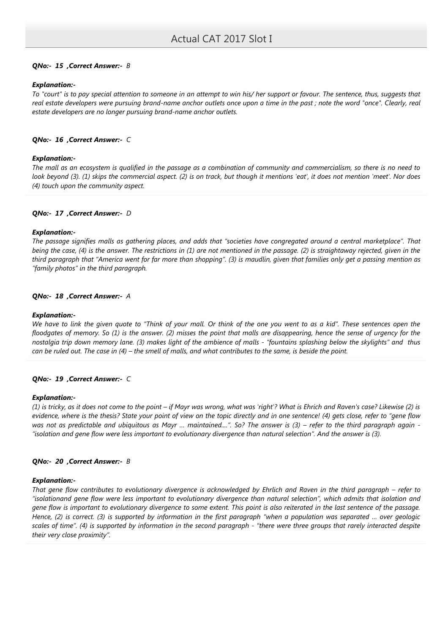## QNo:- 15 ,Correct Answer:- B

## Explanation:-

To "court" is to pay special attention to someone in an attempt to win his/ her support or favour. The sentence, thus, suggests that real estate developers were pursuing brand-name anchor outlets once upon a time in the past ; note the word "once". Clearly, real estate developers are no longer pursuing brand-name anchor outlets.

## QNo:- 16 ,Correct Answer:- C

### Explanation:-

The mall as an ecosystem is qualified in the passage as a combination of community and commercialism, so there is no need to look beyond (3). (1) skips the commercial aspect. (2) is on track, but though it mentions 'eat', it does not mention 'meet'. Nor does (4) touch upon the community aspect.

### QNo:- 17 , Correct Answer:- D

### Explanation:-

The passage signifies malls as gathering places, and adds that "societies have congregated around a central marketplace". That being the case, (4) is the answer. The restrictions in (1) are not mentioned in the passage. (2) is straightaway rejected, given in the third paragraph that "America went for far more than shopping". (3) is maudlin, given that families only get a passing mention as "family photos" in the third paragraph.

### QNo:- 18 , Correct Answer:- A

### Explanation:-

We have to link the given quote to "Think of your mall. Or think of the one you went to as a kid". These sentences open the floodgates of memory. So (1) is the answer. (2) misses the point that malls are disappearing, hence the sense of urgency for the nostalgia trip down memory lane. (3) makes light of the ambience of malls - "fountains splashing below the skylights" and thus can be ruled out. The case in (4) – the smell of malls, and what contributes to the same, is beside the point.

## QNo:- 19 ,Correct Answer:- C

#### Explanation:-

(1) is tricky, as it does not come to the point – if Mayr was wrong, what was 'right'? What is Ehrich and Raven's case? Likewise (2) is evidence, where is the thesis? State your point of view on the topic directly and in one sentence! (4) gets close, refer to "gene flow was not as predictable and ubiquitous as Mayr ... maintained....". So? The answer is (3) – refer to the third paragraph again -"isolation and gene flow were less important to evolutionary divergence than natural selection". And the answer is (3).

#### QNo:- 20 ,Correct Answer:- B

## Explanation:-

That gene flow contributes to evolutionary divergence is acknowledged by Ehrlich and Raven in the third paragraph – refer to "isolationand gene flow were less important to evolutionary divergence than natural selection", which admits that isolation and gene flow is important to evolutionary divergence to some extent. This point is also reiterated in the last sentence of the passage. Hence, (2) is correct. (3) is supported by information in the first paragraph "when a population was separated … over geologic scales of time". (4) is supported by information in the second paragraph - "there were three groups that rarely interacted despite their very close proximity".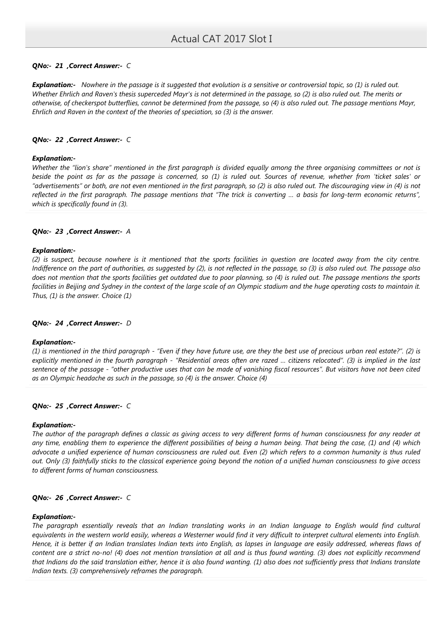## QNo:- 21 ,Correct Answer:- C

Explanation:- Nowhere in the passage is it suggested that evolution is a sensitive or controversial topic, so (1) is ruled out. Whether Ehrlich and Raven's thesis superceded Mayr's is not determined in the passage, so (2) is also ruled out. The merits or otherwise, of checkerspot butterflies, cannot be determined from the passage, so (4) is also ruled out. The passage mentions Mayr, Ehrlich and Raven in the context of the theories of speciation, so (3) is the answer.

## QNo:- 22 ,Correct Answer:- C

### Explanation:-

Whether the "lion's share" mentioned in the first paragraph is divided equally among the three organising committees or not is beside the point as far as the passage is concerned, so (1) is ruled out. Sources of revenue, whether from 'ticket sales' or "advertisements" or both, are not even mentioned in the first paragraph, so (2) is also ruled out. The discouraging view in (4) is not reflected in the first paragraph. The passage mentions that "The trick is converting … a basis for long-term economic returns", which is specifically found in (3).

### QNo:- 23 ,Correct Answer:- A

### Explanation:-

(2) is suspect, because nowhere is it mentioned that the sports facilities in question are located away from the city centre. Indifference on the part of authorities, as suggested by (2), is not reflected in the passage, so (3) is also ruled out. The passage also does not mention that the sports facilities get outdated due to poor planning, so (4) is ruled out. The passage mentions the sports facilities in Beijing and Sydney in the context of the large scale of an Olympic stadium and the huge operating costs to maintain it. Thus, (1) is the answer. Choice (1)

## QNo:- 24 ,Correct Answer:- D

#### Explanation:-

(1) is mentioned in the third paragraph - "Even if they have future use, are they the best use of precious urban real estate?". (2) is explicitly mentioned in the fourth paragraph - "Residential areas often are razed ... citizens relocated". (3) is implied in the last sentence of the passage - "other productive uses that can be made of vanishing fiscal resources". But visitors have not been cited as an Olympic headache as such in the passage, so (4) is the answer. Choice (4)

#### QNo:- 25 ,Correct Answer:- C

#### Explanation:-

The author of the paragraph defines a classic as giving access to very different forms of human consciousness for any reader at any time, enabling them to experience the different possibilities of being a human being. That being the case, (1) and (4) which advocate a unified experience of human consciousness are ruled out. Even (2) which refers to a common humanity is thus ruled out. Only (3) faithfully sticks to the classical experience going beyond the notion of a unified human consciousness to give access to different forms of human consciousness.

## QNo:- 26 ,Correct Answer:- C

#### Explanation:-

The paragraph essentially reveals that an Indian translating works in an Indian language to English would find cultural equivalents in the western world easily, whereas a Westerner would find it very difficult to interpret cultural elements into English. Hence, it is better if an Indian translates Indian texts into English, as lapses in language are easily addressed, whereas flaws of content are a strict no-no! (4) does not mention translation at all and is thus found wanting. (3) does not explicitly recommend that Indians do the said translation either, hence it is also found wanting. (1) also does not sufficiently press that Indians translate Indian texts. (3) comprehensively reframes the paragraph.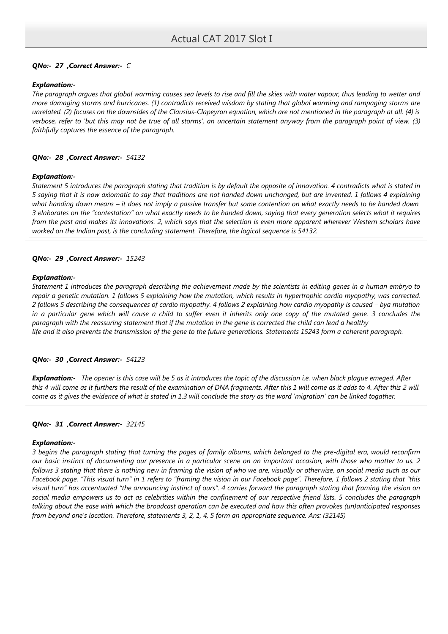## QNo:- 27 ,Correct Answer:- C

## Explanation:-

The paragraph argues that global warming causes sea levels to rise and fill the skies with water vapour, thus leading to wetter and more damaging storms and hurricanes. (1) contradicts received wisdom by stating that global warming and rampaging storms are unrelated. (2) focuses on the downsides of the Clausius-Clapeyron equation, which are not mentioned in the paragraph at all. (4) is verbose, refer to 'but this may not be true of all storms', an uncertain statement anyway from the paragraph point of view. (3) faithfully captures the essence of the paragraph.

## QNo:- 28 ,Correct Answer:- 54132

### Explanation:-

Statement 5 introduces the paragraph stating that tradition is by default the opposite of innovation. 4 contradicts what is stated in 5 saying that it is now axiomatic to say that traditions are not handed down unchanged, but are invented. 1 follows 4 explaining what handing down means – it does not imply a passive transfer but some contention on what exactly needs to be handed down. 3 elaborates on the "contestation" on what exactly needs to be handed down, saying that every generation selects what it requires from the past and makes its innovations. 2, which says that the selection is even more apparent wherever Western scholars have worked on the Indian past, is the concluding statement. Therefore, the logical sequence is 54132.

## QNo:- 29 ,Correct Answer:- 15243

### Explanation:-

Statement 1 introduces the paragraph describing the achievement made by the scientists in editing genes in a human embryo to repair a genetic mutation. 1 follows 5 explaining how the mutation, which results in hypertrophic cardio myopathy, was corrected. 2 follows 5 describing the consequences of cardio myopathy. 4 follows 2 explaining how cardio myopathy is caused – bya mutation in a particular gene which will cause a child to suffer even it inherits only one copy of the mutated gene. 3 concludes the paragraph with the reassuring statement that if the mutation in the gene is corrected the child can lead a healthy life and it also prevents the transmission of the gene to the future generations. Statements 15243 form a coherent paragraph.

#### QNo:- 30 ,Correct Answer:- 54123

Explanation:- The opener is this case will be 5 as it introduces the topic of the discussion i.e. when black plague emeged. After this 4 will come as it furthers the result of the examination of DNA fragments. After this 1 will come as it adds to 4. After this 2 will come as it gives the evidence of what is stated in 1.3 will conclude the story as the word 'migration' can be linked togather.

## QNo:- 31 ,Correct Answer:- 32145

#### Explanation:-

3 begins the paragraph stating that turning the pages of family albums, which belonged to the pre-digital era, would reconfirm our basic instinct of documenting our presence in a particular scene on an important occasion, with those who matter to us. 2 follows 3 stating that there is nothing new in framing the vision of who we are, visually or otherwise, on social media such as our Facebook page. "This visual turn" in 1 refers to "framing the vision in our Facebook page". Therefore, 1 follows 2 stating that "this visual turn" has accentuated "the announcing instinct of ours". 4 carries forward the paragraph stating that framing the vision on social media empowers us to act as celebrities within the confinement of our respective friend lists. 5 concludes the paragraph talking about the ease with which the broadcast operation can be executed and how this often provokes (un)anticipated responses from beyond one's location. Therefore, statements 3, 2, 1, 4, 5 form an appropriate sequence. Ans: (32145)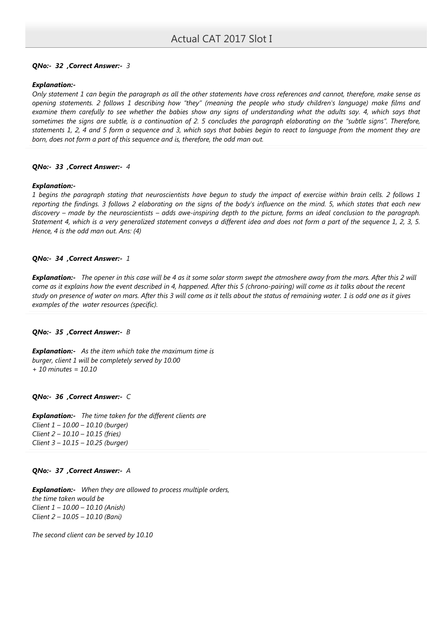# QNo:- 32 ,Correct Answer:- 3

## Explanation:-

Only statement 1 can begin the paragraph as all the other statements have cross references and cannot, therefore, make sense as opening statements. 2 follows 1 describing how "they" (meaning the people who study children's language) make films and examine them carefully to see whether the babies show any signs of understanding what the adults say. 4, which says that sometimes the signs are subtle, is a continuation of 2. 5 concludes the paragraph elaborating on the "subtle signs". Therefore, statements 1, 2, 4 and 5 form a sequence and 3, which says that babies begin to react to language from the moment they are born, does not form a part of this sequence and is, therefore, the odd man out.

### QNo:- 33 ,Correct Answer:- 4

### Explanation:-

1 begins the paragraph stating that neuroscientists have begun to study the impact of exercise within brain cells. 2 follows 1 reporting the findings. 3 follows 2 elaborating on the signs of the body's influence on the mind. 5, which states that each new discovery – made by the neuroscientists – adds awe-inspiring depth to the picture, forms an ideal conclusion to the paragraph. Statement 4, which is a very generalized statement conveys a different idea and does not form a part of the sequence 1, 2, 3, 5. Hence, 4 is the odd man out. Ans: (4)

## QNo:- 34 ,Correct Answer:- 1

Explanation:- The opener in this case will be 4 as it some solar storm swept the atmoshere away from the mars. After this 2 will come as it explains how the event described in 4, happened. After this 5 (chrono-pairing) will come as it talks about the recent study on presence of water on mars. After this 3 will come as it tells about the status of remaining water. 1 is odd one as it gives examples of the water resources (specific).

## QNo:- 35 ,Correct Answer:- B

**Explanation:**- As the item which take the maximum time is burger, client 1 will be completely served by 10.00 + 10 minutes = 10.10

QNo:- 36 ,Correct Answer:- C

**Explanation:-** The time taken for the different clients are Client 1 – 10.00 – 10.10 (burger) Client 2 – 10.10 – 10.15 (fries) Client 3 – 10.15 – 10.25 (burger)

## QNo:- 37 ,Correct Answer:- A

**Explanation:-** When they are allowed to process multiple orders, the time taken would be Client 1 – 10.00 – 10.10 (Anish) Client 2 – 10.05 – 10.10 (Bani)

The second client can be served by 10.10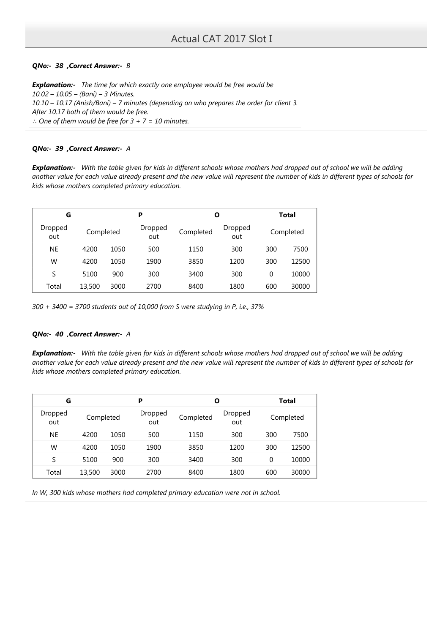## QNo:- 38 ,Correct Answer:- B

**Explanation:-** The time for which exactly one employee would be free would be 10.02 – 10.05 – (Bani) – 3 Minutes. 10.10 – 10.17 (Anish/Bani) – 7 minutes (depending on who prepares the order for client 3. After 10.17 both of them would be free. ∴ One of them would be free for 3 + 7 = 10 minutes.

#### QNo:- 39 ,Correct Answer:- A

**Explanation:-** With the table given for kids in different schools whose mothers had dropped out of school we will be adding another value for each value already present and the new value will represent the number of kids in different types of schools for kids whose mothers completed primary education.

| G              |           |      | P<br>Ο         |           |                | <b>Total</b> |           |
|----------------|-----------|------|----------------|-----------|----------------|--------------|-----------|
| Dropped<br>out | Completed |      | Dropped<br>out | Completed | Dropped<br>out |              | Completed |
| <b>NE</b>      | 4200      | 1050 | 500            | 1150      | 300            | 300          | 7500      |
| W              | 4200      | 1050 | 1900           | 3850      | 1200           | 300          | 12500     |
| S              | 5100      | 900  | 300            | 3400      | 300            | 0            | 10000     |
| Total          | 13,500    | 3000 | 2700           | 8400      | 1800           | 600          | 30000     |

300 + 3400 = 3700 students out of 10,000 from S were studying in P, i.e., 37%

### QNo:- 40 ,Correct Answer:- A

Explanation:- With the table given for kids in different schools whose mothers had dropped out of school we will be adding another value for each value already present and the new value will represent the number of kids in different types of schools for kids whose mothers completed primary education.

| G              |           |      | P              | Ο         |                |              | Total     |
|----------------|-----------|------|----------------|-----------|----------------|--------------|-----------|
| Dropped<br>out | Completed |      | Dropped<br>out | Completed | Dropped<br>out |              | Completed |
| <b>NE</b>      | 4200      | 1050 | 500            | 1150      | 300            | 300          | 7500      |
| W              | 4200      | 1050 | 1900           | 3850      | 1200           | 300          | 12500     |
| S              | 5100      | 900  | 300            | 3400      | 300            | $\mathbf{0}$ | 10000     |
| Total          | 13,500    | 3000 | 2700           | 8400      | 1800           | 600          | 30000     |

In W, 300 kids whose mothers had completed primary education were not in school.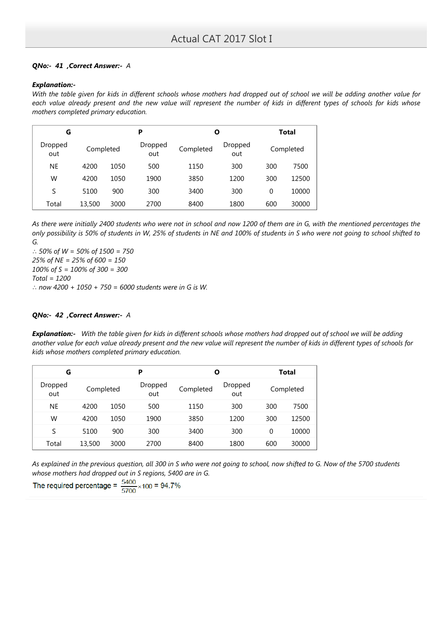## QNo:- 41 ,Correct Answer:- A

## Explanation:-

With the table given for kids in different schools whose mothers had dropped out of school we will be adding another value for each value already present and the new value will represent the number of kids in different types of schools for kids whose mothers completed primary education.

| G              |           |      | P<br>Ο         |           |                | Total |           |
|----------------|-----------|------|----------------|-----------|----------------|-------|-----------|
| Dropped<br>out | Completed |      | Dropped<br>out | Completed | Dropped<br>out |       | Completed |
| <b>NE</b>      | 4200      | 1050 | 500            | 1150      | 300            | 300   | 7500      |
| W              | 4200      | 1050 | 1900           | 3850      | 1200           | 300   | 12500     |
| S              | 5100      | 900  | 300            | 3400      | 300            | 0     | 10000     |
| Total          | 13,500    | 3000 | 2700           | 8400      | 1800           | 600   | 30000     |

As there were initially 2400 students who were not in school and now 1200 of them are in G, with the mentioned percentages the only possibility is 50% of students in W, 25% of students in NE and 100% of students in S who were not going to school shifted to G.

∴ 50% of W = 50% of 1500 = 750 25% of NE = 25% of 600 = 150 100% of S = 100% of 300 = 300 Total = 1200 ∴ now 4200 + 1050 + 750 = 6000 students were in G is W.

# QNo:- 42 ,Correct Answer:- A

**Explanation:-** With the table given for kids in different schools whose mothers had dropped out of school we will be adding another value for each value already present and the new value will represent the number of kids in different types of schools for kids whose mothers completed primary education.

| G              |           |      | P              | Ο         |                |     | Total     |
|----------------|-----------|------|----------------|-----------|----------------|-----|-----------|
| Dropped<br>out | Completed |      | Dropped<br>out | Completed | Dropped<br>out |     | Completed |
| <b>NE</b>      | 4200      | 1050 | 500            | 1150      | 300            | 300 | 7500      |
| W              | 4200      | 1050 | 1900           | 3850      | 1200           | 300 | 12500     |
| S              | 5100      | 900  | 300            | 3400      | 300            | 0   | 10000     |
| Total          | 13,500    | 3000 | 2700           | 8400      | 1800           | 600 | 30000     |

As explained in the previous question, all 300 in S who were not going to school, now shifted to G. Now of the 5700 students whose mothers had dropped out in S regions, 5400 are in G.

The required percentage =  $\frac{5400}{5700} \times 100 = 94.7\%$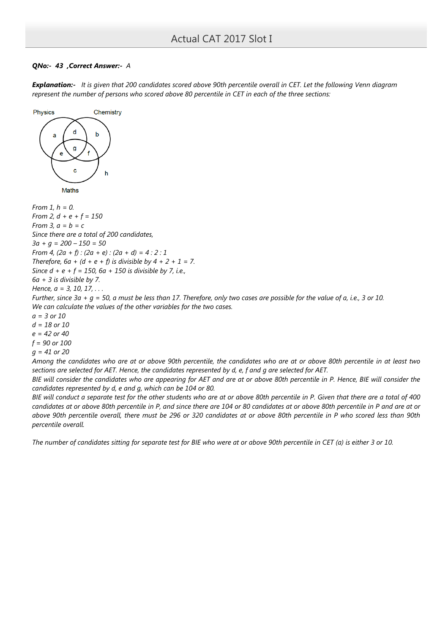# QNo:- 43 ,Correct Answer:- A

Explanation:- It is given that 200 candidates scored above 90th percentile overall in CET. Let the following Venn diagram represent the number of persons who scored above 80 percentile in CET in each of the three sections:



BIE will consider the candidates who are appearing for AET and are at or above 80th percentile in P. Hence, BIE will consider the candidates represented by d, e and g, which can be 104 or 80.

BIE will conduct a separate test for the other students who are at or above 80th percentile in P. Given that there are a total of 400 candidates at or above 80th percentile in P, and since there are 104 or 80 candidates at or above 80th percentile in P and are at or above 90th percentile overall, there must be 296 or 320 candidates at or above 80th percentile in P who scored less than 90th percentile overall.

The number of candidates sitting for separate test for BIE who were at or above 90th percentile in CET (a) is either 3 or 10.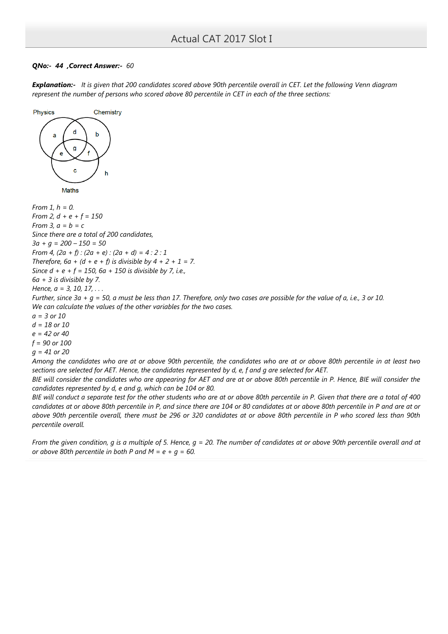## QNo:- 44 ,Correct Answer:- 60

Explanation:- It is given that 200 candidates scored above 90th percentile overall in CET. Let the following Venn diagram represent the number of persons who scored above 80 percentile in CET in each of the three sections:



BIE will consider the candidates who are appearing for AET and are at or above 80th percentile in P. Hence, BIE will consider the candidates represented by d, e and g, which can be 104 or 80.

BIE will conduct a separate test for the other students who are at or above 80th percentile in P. Given that there are a total of 400 candidates at or above 80th percentile in P, and since there are 104 or 80 candidates at or above 80th percentile in P and are at or above 90th percentile overall, there must be 296 or 320 candidates at or above 80th percentile in P who scored less than 90th percentile overall.

From the given condition, g is a multiple of 5. Hence,  $q = 20$ . The number of candidates at or above 90th percentile overall and at or above 80th percentile in both P and  $M = e + q = 60$ .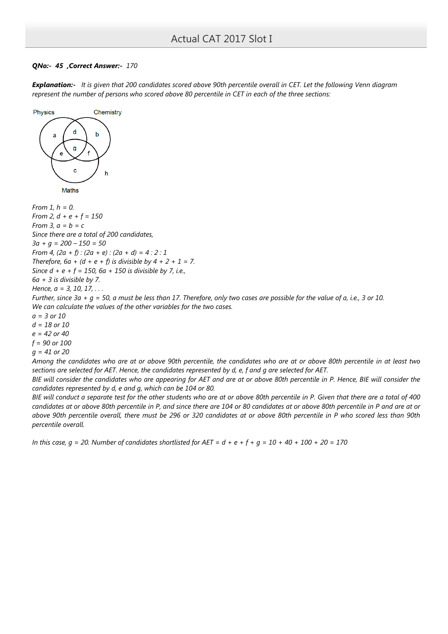# QNo:- 45 ,Correct Answer:- 170

Explanation:- It is given that 200 candidates scored above 90th percentile overall in CET. Let the following Venn diagram represent the number of persons who scored above 80 percentile in CET in each of the three sections:



BIE will consider the candidates who are appearing for AET and are at or above 80th percentile in P. Hence, BIE will consider the candidates represented by d, e and g, which can be 104 or 80.

BIE will conduct a separate test for the other students who are at or above 80th percentile in P. Given that there are a total of 400 candidates at or above 80th percentile in P, and since there are 104 or 80 candidates at or above 80th percentile in P and are at or above 90th percentile overall, there must be 296 or 320 candidates at or above 80th percentile in P who scored less than 90th percentile overall.

In this case,  $q = 20$ . Number of candidates shortlisted for AET =  $d + e + f + q = 10 + 40 + 100 + 20 = 170$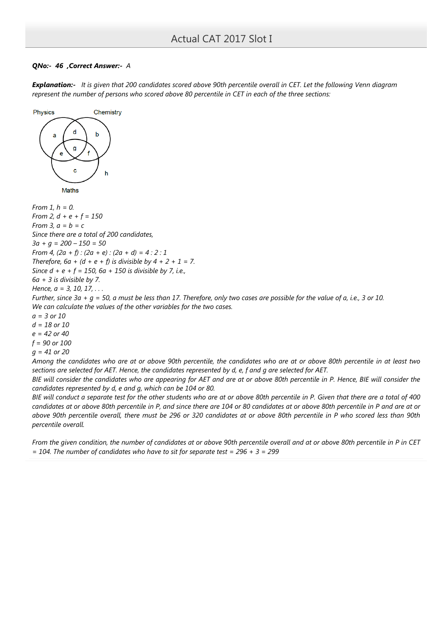## QNo:- 46 ,Correct Answer:- A

Explanation:- It is given that 200 candidates scored above 90th percentile overall in CET. Let the following Venn diagram represent the number of persons who scored above 80 percentile in CET in each of the three sections:



BIE will consider the candidates who are appearing for AET and are at or above 80th percentile in P. Hence, BIE will consider the candidates represented by d, e and g, which can be 104 or 80.

BIE will conduct a separate test for the other students who are at or above 80th percentile in P. Given that there are a total of 400 candidates at or above 80th percentile in P, and since there are 104 or 80 candidates at or above 80th percentile in P and are at or above 90th percentile overall, there must be 296 or 320 candidates at or above 80th percentile in P who scored less than 90th percentile overall.

From the given condition, the number of candidates at or above 90th percentile overall and at or above 80th percentile in P in CET  $= 104$ . The number of candidates who have to sit for separate test  $= 296 + 3 = 299$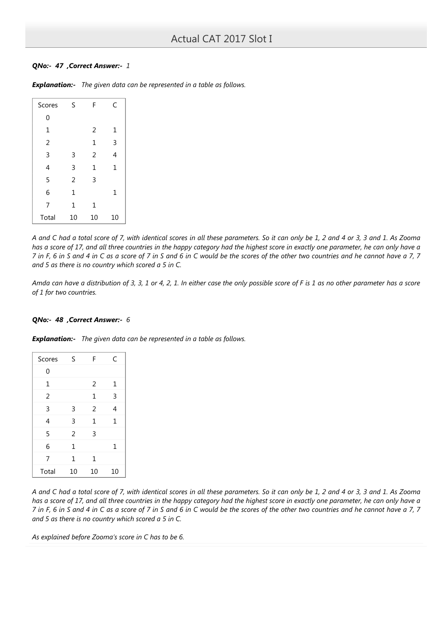## QNo:- 47 ,Correct Answer:- 1

| Scores         | S              | F              | C            |  |
|----------------|----------------|----------------|--------------|--|
| 0              |                |                |              |  |
| $\mathbf 1$    |                | 2              | 1            |  |
| $\overline{c}$ |                | $\mathbf 1$    | 3            |  |
| 3              | 3              | $\overline{2}$ | 4            |  |
| 4              | 3              | 1              | $\mathbf{1}$ |  |
| 5              | $\overline{c}$ | 3              |              |  |
| 6              | $\mathbf 1$    |                | 1            |  |
| 7              | 1              | 1              |              |  |
| Total          | 10             | 10             | 10           |  |

**Explanation:-** The given data can be represented in a table as follows.

A and C had a total score of 7, with identical scores in all these parameters. So it can only be 1, 2 and 4 or 3, 3 and 1. As Zooma has a score of 17, and all three countries in the happy category had the highest score in exactly one parameter, he can only have a 7 in F, 6 in S and 4 in C as a score of 7 in S and 6 in C would be the scores of the other two countries and he cannot have a 7, 7 and 5 as there is no country which scored a 5 in C.

Amda can have a distribution of 3, 3, 1 or 4, 2, 1. In either case the only possible score of F is 1 as no other parameter has a score of 1 for two countries.

#### QNo:- 48 ,Correct Answer:- 6

**Explanation:-** The given data can be represented in a table as follows.

| Scores         | S              | F  | C  |
|----------------|----------------|----|----|
| 0              |                |    |    |
| 1              |                | 2  | 1  |
| $\overline{2}$ |                | 1  | 3  |
| 3              | 3              | 2  | 4  |
| 4              | 3              | 1  | 1  |
| 5              | $\overline{2}$ | 3  |    |
| 6              | 1              |    | 1  |
| 7              | 1              | 1  |    |
| Total          | 10             | 10 | 10 |

A and C had a total score of 7, with identical scores in all these parameters. So it can only be 1, 2 and 4 or 3, 3 and 1. As Zooma has a score of 17, and all three countries in the happy category had the highest score in exactly one parameter, he can only have a 7 in F, 6 in S and 4 in C as a score of 7 in S and 6 in C would be the scores of the other two countries and he cannot have a 7, 7 and 5 as there is no country which scored a 5 in C.

As explained before Zooma's score in C has to be 6.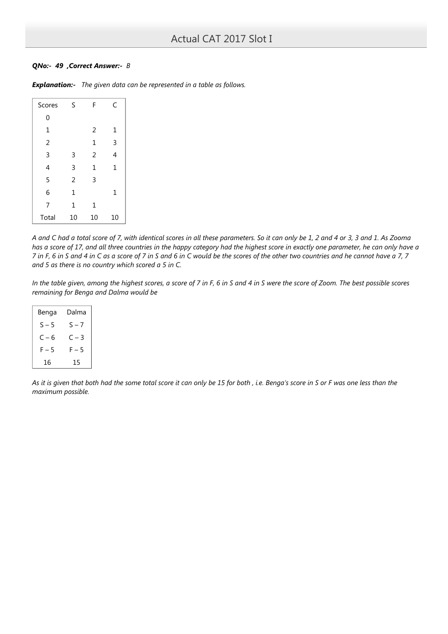## QNo:- 49 ,Correct Answer:- B

| Scores         | S              | F              | C           |  |
|----------------|----------------|----------------|-------------|--|
| 0              |                |                |             |  |
| 1              |                | 2              | 1           |  |
| $\overline{c}$ |                | $\mathbf{1}$   | 3           |  |
| 3              | 3              | $\overline{2}$ | 4           |  |
| 4              | 3              | 1              | $\mathbf 1$ |  |
| 5              | $\overline{2}$ | 3              |             |  |
| 6              | $\mathbf 1$    |                | 1           |  |
| 7              | 1              | 1              |             |  |
| Total          | 10             | 10             | 10          |  |

**Explanation:-** The given data can be represented in a table as follows.

A and C had a total score of 7, with identical scores in all these parameters. So it can only be 1, 2 and 4 or 3, 3 and 1. As Zooma has a score of 17, and all three countries in the happy category had the highest score in exactly one parameter, he can only have a 7 in F, 6 in S and 4 in C as a score of 7 in S and 6 in C would be the scores of the other two countries and he cannot have a 7, 7 and 5 as there is no country which scored a 5 in C.

In the table given, among the highest scores, a score of 7 in F, 6 in S and 4 in S were the score of Zoom. The best possible scores remaining for Benga and Dalma would be

| Benga   | Dalma   |
|---------|---------|
| $S - 5$ | $S - 7$ |
| $C - 6$ | $C - 3$ |
| F – 5   | $F - 5$ |
| 16      | 15      |
|         |         |

As it is given that both had the some total score it can only be 15 for both , i.e. Benga's score in S or F was one less than the maximum possible.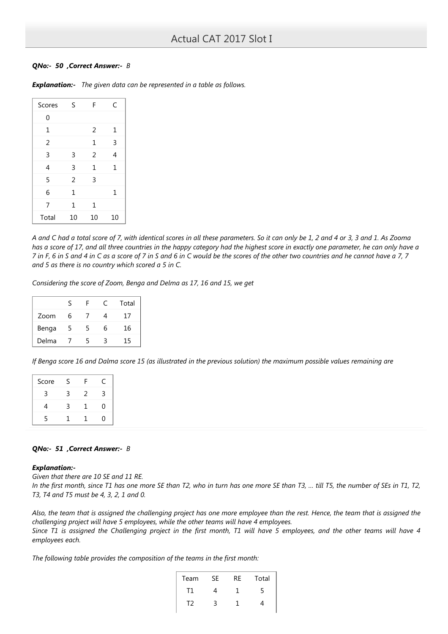## QNo:- 50 ,Correct Answer:- B

|  |  | <b>Explanation:-</b> The given data can be represented in a table as follows. |  |
|--|--|-------------------------------------------------------------------------------|--|
|--|--|-------------------------------------------------------------------------------|--|

| Scores         | S              | F              | C            |
|----------------|----------------|----------------|--------------|
| 0              |                |                |              |
| 1              |                | 2              | 1            |
| $\overline{2}$ |                | 1              | 3            |
| 3              | 3              | $\overline{2}$ | 4            |
| 4              | 3              | $\mathbf{1}$   | 1            |
| 5              | $\overline{2}$ | 3              |              |
| 6              | 1              |                | $\mathbf{1}$ |
| 7              | $\mathbf 1$    | 1              |              |
| Total          | 10             | 10             | 10           |

A and C had a total score of 7, with identical scores in all these parameters. So it can only be 1, 2 and 4 or 3, 3 and 1. As Zooma has a score of 17, and all three countries in the happy category had the highest score in exactly one parameter, he can only have a 7 in F, 6 in S and 4 in C as a score of 7 in S and 6 in C would be the scores of the other two countries and he cannot have a 7, 7 and 5 as there is no country which scored a 5 in C.

Considering the score of Zoom, Benga and Delma as 17, 16 and 15, we get

|       | S | ⊢ | ⊆ | Total |
|-------|---|---|---|-------|
| Zoom  | 6 |   | 4 | 17    |
| Benga | 5 | 5 | 6 | 16    |
| Delma |   | ۳ | ર | 15    |

If Benga score 16 and Dalma score 15 (as illustrated in the previous solution) the maximum possible values remaining are

| Score | ς | F | П |
|-------|---|---|---|
| ξ     | ₹ | 2 | ړ |
| 4     | ₹ |   | П |
| 5     |   |   |   |

## QNo:- 51 ,Correct Answer:- B

#### Explanation:-

Given that there are 10 SE and 11 RE. In the first month, since T1 has one more SE than T2, who in turn has one more SE than T3, … till T5, the number of SEs in T1, T2, T3, T4 and T5 must be 4, 3, 2, 1 and 0.

Also, the team that is assigned the challenging project has one more employee than the rest. Hence, the team that is assigned the challenging project will have 5 employees, while the other teams will have 4 employees. Since T1 is assigned the Challenging project in the first month, T1 will have 5 employees, and the other teams will have 4 employees each.

The following table provides the composition of the teams in the first month:

| SE | RF | Total |
|----|----|-------|
|    |    | 5     |
| 2  |    |       |
|    |    |       |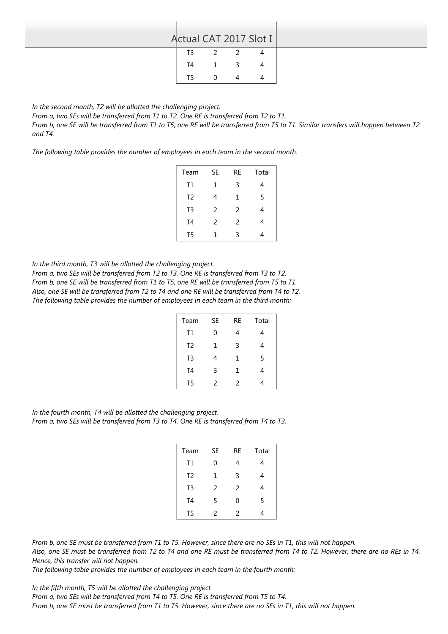|                |   |   | Actual CAT 2017 Slot I |
|----------------|---|---|------------------------|
| T <sub>3</sub> | 2 |   | $\Delta$               |
| T <sub>4</sub> |   | ₹ | 4                      |
| ᅚ              |   |   |                        |

In the second month, T2 will be allotted the challenging project.

From a, two SEs will be transferred from T1 to T2. One RE is transferred from T2 to T1.

From b, one SE will be transferred from T1 to T5, one RE will be transferred from T5 to T1. Similar transfers will happen between T2 and T4.

The following table provides the number of employees in each team in the second month:

| Team           | SE | RE | Total |
|----------------|----|----|-------|
| T1             | 1  | 3  | 4     |
| T <sub>2</sub> | 4  | 1  | 5     |
| T <sub>3</sub> | 2  | 2  | 4     |
| T <sub>4</sub> | 2  | 2  | 4     |
| T <sub>5</sub> | 1  | ξ  |       |

In the third month, T3 will be allotted the challenging project.

From a, two SEs will be transferred from T2 to T3. One RE is transferred from T3 to T2. From b, one SE will be transferred from T1 to T5, one RE will be transferred from T5 to T1. Also, one SE will be transferred from T2 to T4 and one RE will be transferred from T4 to T2. The following table provides the number of employees in each team in the third month:

| Team           | <b>SE</b> | <b>RE</b> | Total |
|----------------|-----------|-----------|-------|
| T1             | 0         | 4         | 4     |
| T <sub>2</sub> | 1         | 3         | 4     |
| T <sub>3</sub> | 4         | 1         | 5     |
| T <sub>4</sub> | 3         | 1         | 4     |
| T5             | 2         | 2         | 4     |

In the fourth month, T4 will be allotted the challenging project. From a, two SEs will be transferred from T3 to T4. One RE is transferred from T4 to T3.

| Team           | <b>SE</b> | RE | Total |
|----------------|-----------|----|-------|
| T1             | 0         | 4  | 4     |
| T <sub>2</sub> | 1         | 3  | 4     |
| T <sub>3</sub> | 2         | 2  | 4     |
| T <sub>4</sub> | 5         | 0  | 5     |
| T5             | 2         | 2  |       |

From b, one SE must be transferred from T1 to T5. However, since there are no SEs in T1, this will not happen. Also, one SE must be transferred from T2 to T4 and one RE must be transferred from T4 to T2. However, there are no REs in T4. Hence, this transfer will not happen.

The following table provides the number of employees in each team in the fourth month:

In the fifth month, T5 will be allotted the challenging project.

From a, two SEs will be transferred from T4 to T5. One RE is transferred from T5 to T4.

From b, one SE must be transferred from T1 to T5. However, since there are no SEs in T1, this will not happen.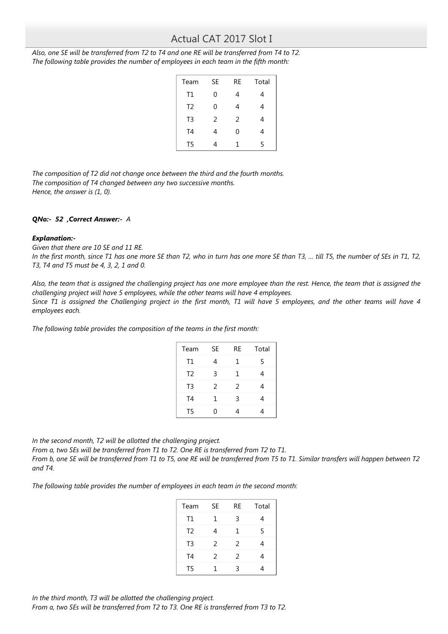Also, one SE will be transferred from T2 to T4 and one RE will be transferred from T4 to T2. The following table provides the number of employees in each team in the fifth month:

| Team           | SE | RE | Total |
|----------------|----|----|-------|
| T1             | 0  | 4  | 4     |
| T <sub>2</sub> | 0  | 4  | 4     |
| T <sub>3</sub> | 2  | 2  | 4     |
| T <sub>4</sub> | 4  | 0  | 4     |
| T5             | 4  | 1  | 5     |

The composition of T2 did not change once between the third and the fourth months. The composition of T4 changed between any two successive months. Hence, the answer is  $(1, 0)$ .

## QNo:- 52 ,Correct Answer:- A

## Explanation:-

Given that there are 10 SE and 11 RE.

In the first month, since T1 has one more SE than T2, who in turn has one more SE than T3, … till T5, the number of SEs in T1, T2, T3, T4 and T5 must be 4, 3, 2, 1 and 0.

Also, the team that is assigned the challenging project has one more employee than the rest. Hence, the team that is assigned the challenging project will have 5 employees, while the other teams will have 4 employees.

Since T1 is assigned the Challenging project in the first month, T1 will have 5 employees, and the other teams will have 4 employees each.

The following table provides the composition of the teams in the first month:

| Team           | SE | RE | Total |
|----------------|----|----|-------|
| T1             | 4  | 1  | 5     |
| T <sub>2</sub> | 3  | 1  | 4     |
| T <sub>3</sub> | 2  | 2  | 4     |
| T <sub>4</sub> | 1  | 3  | 4     |
| T5             | ი  |    |       |

In the second month, T2 will be allotted the challenging project.

From a, two SEs will be transferred from T1 to T2. One RE is transferred from T2 to T1.

From b, one SE will be transferred from T1 to T5, one RE will be transferred from T5 to T1. Similar transfers will happen between T2 and T4.

The following table provides the number of employees in each team in the second month:

| Team           | <b>SE</b> | RE | Total |
|----------------|-----------|----|-------|
| T1             | 1         | 3  |       |
| T <sub>2</sub> | 4         | 1  | 5     |
| T <sub>3</sub> | 2         | 2  | 4     |
| T <sub>4</sub> | 2         | 2  |       |
| T5             | 1         | ς  |       |

In the third month, T3 will be allotted the challenging project. From a, two SEs will be transferred from T2 to T3. One RE is transferred from T3 to T2.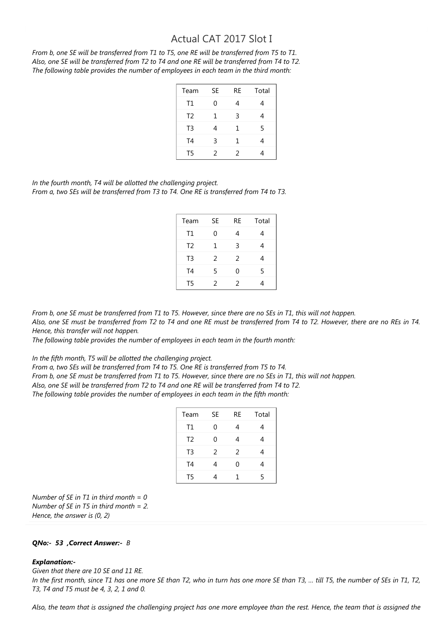From b, one SE will be transferred from T1 to T5, one RE will be transferred from T5 to T1. Also, one SE will be transferred from T2 to T4 and one RE will be transferred from T4 to T2. The following table provides the number of employees in each team in the third month:

| Team           | <b>SE</b> | <b>RE</b> | Total |
|----------------|-----------|-----------|-------|
| T1             | N         | 4         | 4     |
| T <sub>2</sub> | 1         | 3         | 4     |
| T <sub>3</sub> | 4         | 1         | 5     |
| T <sub>4</sub> | 3         | 1         |       |
| T5             | 2         | 2         |       |

In the fourth month, T4 will be allotted the challenging project. From a, two SEs will be transferred from T3 to T4. One RE is transferred from T4 to T3.

| Team           | SE | RE            | Total |
|----------------|----|---------------|-------|
| T1             | N  |               | 4     |
| T <sub>2</sub> | 1  | 3             | 4     |
| T <sub>3</sub> | 2  | 2             |       |
| T <sub>4</sub> | 5  | O             | 5     |
| T <sub>5</sub> | 2  | $\mathcal{P}$ |       |

From b, one SE must be transferred from T1 to T5. However, since there are no SEs in T1, this will not happen.

Also, one SE must be transferred from T2 to T4 and one RE must be transferred from T4 to T2. However, there are no REs in T4. Hence, this transfer will not happen.

The following table provides the number of employees in each team in the fourth month:

In the fifth month, T5 will be allotted the challenging project.

From a, two SEs will be transferred from T4 to T5. One RE is transferred from T5 to T4.

From b, one SE must be transferred from T1 to T5. However, since there are no SEs in T1, this will not happen.

Also, one SE will be transferred from T2 to T4 and one RE will be transferred from T4 to T2.

The following table provides the number of employees in each team in the fifth month:

| Team           | SE            | RE            | Total |
|----------------|---------------|---------------|-------|
| T1             | 0             | 4             | 4     |
| T <sub>2</sub> | 0             | 4             | 4     |
| T <sub>3</sub> | $\mathcal{P}$ | $\mathcal{P}$ | 4     |
| T <sub>4</sub> | 4             | O             | 4     |
| T5             | Δ             | 1             | 5     |

Number of SE in T1 in third month =  $0$ Number of SE in T5 in third month  $= 2$ . Hence, the answer is (0, 2)

#### QNo:- 53 ,Correct Answer:- B

#### Explanation:-

Given that there are 10 SE and 11 RE.

In the first month, since T1 has one more SE than T2, who in turn has one more SE than T3, … till T5, the number of SEs in T1, T2, T3, T4 and T5 must be 4, 3, 2, 1 and 0.

Also, the team that is assigned the challenging project has one more employee than the rest. Hence, the team that is assigned the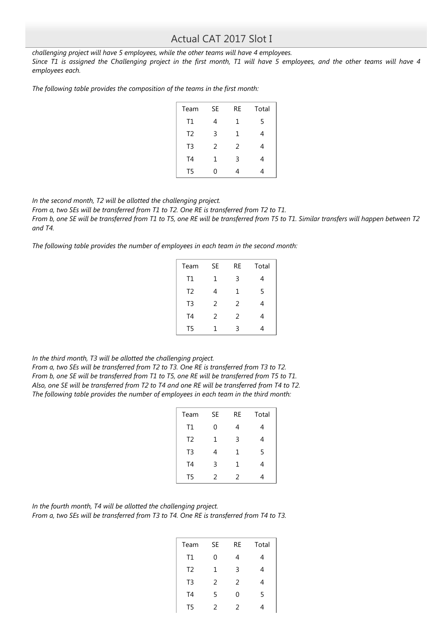challenging project will have 5 employees, while the other teams will have 4 employees. Since T1 is assigned the Challenging project in the first month, T1 will have 5 employees, and the other teams will have 4 employees each.

The following table provides the composition of the teams in the first month:

| Team           | SE | RE | Total |
|----------------|----|----|-------|
| T1             | 4  | 1  | 5     |
| T <sub>2</sub> | 3  | 1  | 4     |
| T3             | 2  | 2  | 4     |
| T <sub>4</sub> | 1  | 3  | 4     |
| T <sub>5</sub> | N  | 4  | 4     |

In the second month, T2 will be allotted the challenging project.

From a, two SEs will be transferred from T1 to T2. One RE is transferred from T2 to T1.

From b, one SE will be transferred from T1 to T5, one RE will be transferred from T5 to T1. Similar transfers will happen between T2 and T4.

The following table provides the number of employees in each team in the second month:

| Team           | <b>SE</b> | RE | Total |
|----------------|-----------|----|-------|
| T1             | 1         | 3  | 4     |
| T <sub>2</sub> | 4         | 1  | 5     |
| T <sub>3</sub> | 2         | 2  | 4     |
| T <sub>4</sub> | 2         | 2  | 4     |
| T5             | 1         | 3  | 4     |

In the third month, T3 will be allotted the challenging project.

From a, two SEs will be transferred from T2 to T3. One RE is transferred from T3 to T2. From b, one SE will be transferred from T1 to T5, one RE will be transferred from T5 to T1. Also, one SE will be transferred from T2 to T4 and one RE will be transferred from T4 to T2. The following table provides the number of employees in each team in the third month:

| Team           | SE | <b>RE</b>    | Total |
|----------------|----|--------------|-------|
| T1             | 0  | 4            | 4     |
| T <sub>2</sub> | 1  | 3            | 4     |
| T <sub>3</sub> | 4  | $\mathbf{1}$ | 5     |
| T <sub>4</sub> | 3  | 1            | 4     |
| T5             | 2  | 2            |       |
|                |    |              |       |

In the fourth month, T4 will be allotted the challenging project. From a, two SEs will be transferred from T3 to T4. One RE is transferred from T4 to T3.

| Team           | <b>SE</b>     | RE | Total |
|----------------|---------------|----|-------|
| T1             | 0             | 4  | 4     |
| T <sub>2</sub> | 1             | 3  | 4     |
| T <sub>3</sub> | 2             | 2  | 4     |
| T <sub>4</sub> | 5             | N  | 5     |
| T <sub>5</sub> | $\mathfrak z$ | 2  |       |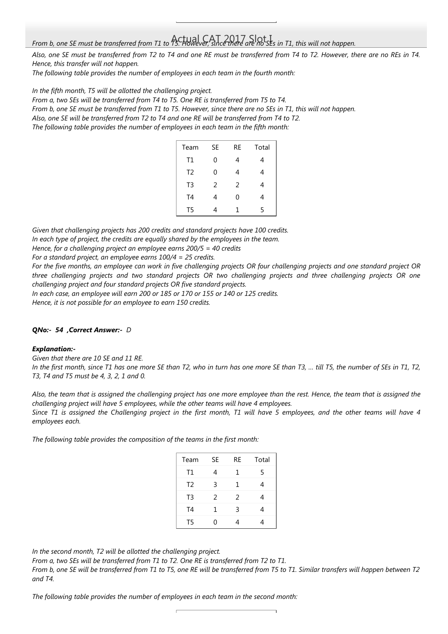# Actual CAT 2017 Slot I From b, one SE must be transferred from T1 to T5. However, since there are no SEs in T1, this will not happen.

Also, one SE must be transferred from T2 to T4 and one RE must be transferred from T4 to T2. However, there are no REs in T4. Hence, this transfer will not happen.

The following table provides the number of employees in each team in the fourth month:

In the fifth month, T5 will be allotted the challenging project.

From a, two SEs will be transferred from T4 to T5. One RE is transferred from T5 to T4.

From b, one SE must be transferred from T1 to T5. However, since there are no SEs in T1, this will not happen.

Also, one SE will be transferred from T2 to T4 and one RE will be transferred from T4 to T2.

The following table provides the number of employees in each team in the fifth month:

| Team           | <b>SE</b> | RE | Total |
|----------------|-----------|----|-------|
| T1             | 0         | 4  | 4     |
| T <sub>2</sub> | 0         | 4  | 4     |
| T <sub>3</sub> | 2         | 2  | 4     |
| T <sub>4</sub> | 4         | 0  | 4     |
| T <sub>5</sub> | 4         | 1  | 5     |

Given that challenging projects has 200 credits and standard projects have 100 credits.

In each type of project, the credits are equally shared by the employees in the team.

Hence, for a challenging project an employee earns 200/5 = 40 credits

For a standard project, an employee earns 100/4 = 25 credits.

For the five months, an employee can work in five challenging projects OR four challenging projects and one standard project OR three challenging projects and two standard projects OR two challenging projects and three challenging projects OR one challenging project and four standard projects OR five standard projects.

In each case, an employee will earn 200 or 185 or 170 or 155 or 140 or 125 credits.

Hence, it is not possible for an employee to earn 150 credits.

## QNo:- 54 , Correct Answer:- D

## Explanation:-

Given that there are 10 SE and 11 RE.

In the first month, since T1 has one more SE than T2, who in turn has one more SE than T3, … till T5, the number of SEs in T1, T2, T3, T4 and T5 must be 4, 3, 2, 1 and 0.

Also, the team that is assigned the challenging project has one more employee than the rest. Hence, the team that is assigned the challenging project will have 5 employees, while the other teams will have 4 employees.

Since T1 is assigned the Challenging project in the first month, T1 will have 5 employees, and the other teams will have 4 employees each.

The following table provides the composition of the teams in the first month:

| Team           | <b>SE</b> | RE | Total |
|----------------|-----------|----|-------|
| T1             | 4         | 1  | 5     |
| T <sub>2</sub> | 3         | 1  |       |
| T <sub>3</sub> | 2         | 2  |       |
| T <sub>4</sub> | 1         | 3  | 4     |
| T5             | O         |    |       |

In the second month, T2 will be allotted the challenging project.

From a, two SEs will be transferred from T1 to T2. One RE is transferred from T2 to T1.

From b, one SE will be transferred from T1 to T5, one RE will be transferred from T5 to T1. Similar transfers will happen between T2 and T4.

The following table provides the number of employees in each team in the second month: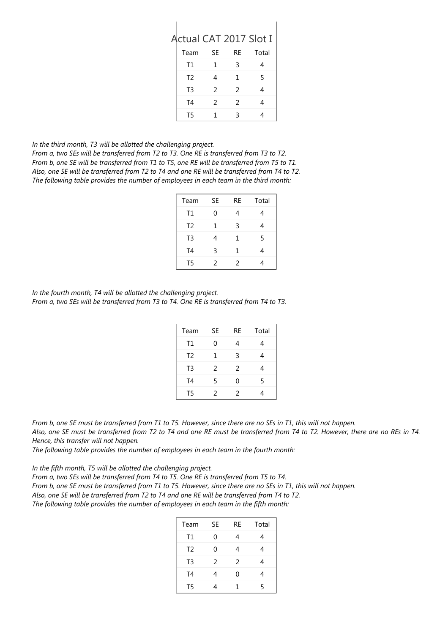|                |               |               | Actual CAT 2017 Slot I |
|----------------|---------------|---------------|------------------------|
| Team           | SE            | RE            | Total                  |
| T1             | 1             | 3             | 4                      |
| T <sub>2</sub> | 4             | 1             | 5                      |
| T <sub>3</sub> | $\mathcal{P}$ | $\mathcal{P}$ | 4                      |
| T <sub>4</sub> | 2             | 2             | 4                      |
| T5             | 1             | ς             |                        |

In the third month, T3 will be allotted the challenging project.

From a, two SEs will be transferred from T2 to T3. One RE is transferred from T3 to T2. From b, one SE will be transferred from T1 to T5, one RE will be transferred from T5 to T1. Also, one SE will be transferred from T2 to T4 and one RE will be transferred from T4 to T2. The following table provides the number of employees in each team in the third month:

| Team           | <b>SE</b>     | RE            | Total |
|----------------|---------------|---------------|-------|
| T1             | 0             | 4             | 4     |
| T <sub>2</sub> | 1             | 3             | 4     |
| T3             | 4             | 1             | 5     |
| T <sub>4</sub> | 3             | 1             | 4     |
| T5             | $\mathfrak z$ | $\mathcal{P}$ |       |

In the fourth month, T4 will be allotted the challenging project. From a, two SEs will be transferred from T3 to T4. One RE is transferred from T4 to T3.

| Team           | SE            | RE            | Total |
|----------------|---------------|---------------|-------|
| T1             | 0             | 4             | 4     |
| T <sub>2</sub> | $\mathbf{1}$  | 3             | 4     |
| T <sub>3</sub> | $\mathcal{P}$ | $\mathcal{P}$ | 4     |
| T <sub>4</sub> | 5             | O             | 5     |
| Τ5             | $\mathcal{P}$ | $\mathcal{P}$ |       |

From b, one SE must be transferred from T1 to T5. However, since there are no SEs in T1, this will not happen.

Also, one SE must be transferred from T2 to T4 and one RE must be transferred from T4 to T2. However, there are no REs in T4. Hence, this transfer will not happen.

The following table provides the number of employees in each team in the fourth month:

In the fifth month, T5 will be allotted the challenging project.

From a, two SEs will be transferred from T4 to T5. One RE is transferred from T5 to T4.

From b, one SE must be transferred from T1 to T5. However, since there are no SEs in T1, this will not happen.

Also, one SE will be transferred from T2 to T4 and one RE will be transferred from T4 to T2.

The following table provides the number of employees in each team in the fifth month:

| Team           | <b>SE</b>     | RE            | Total |
|----------------|---------------|---------------|-------|
| T1             | 0             | 4             | 4     |
| T <sub>2</sub> | 0             | 4             | 4     |
| T <sub>3</sub> | $\mathcal{P}$ | $\mathcal{P}$ | 4     |
| T <sub>4</sub> | 4             | N             | 4     |
| T5             |               | 1             | 5     |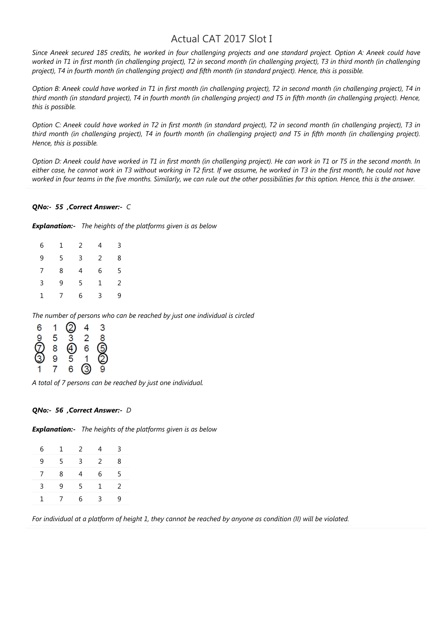Since Aneek secured 185 credits, he worked in four challenging projects and one standard project. Option A: Aneek could have worked in T1 in first month (in challenging project), T2 in second month (in challenging project), T3 in third month (in challenging project), T4 in fourth month (in challenging project) and fifth month (in standard project). Hence, this is possible.

Option B: Aneek could have worked in T1 in first month (in challenging project), T2 in second month (in challenging project), T4 in third month (in standard project), T4 in fourth month (in challenging project) and T5 in fifth month (in challenging project). Hence, this is possible.

Option C: Aneek could have worked in T2 in first month (in standard project), T2 in second month (in challenging project), T3 in third month (in challenging project), T4 in fourth month (in challenging project) and T5 in fifth month (in challenging project). Hence, this is possible.

Option D: Aneek could have worked in T1 in first month (in challenging project). He can work in T1 or T5 in the second month. In either case, he cannot work in T3 without working in T2 first. If we assume, he worked in T3 in the first month, he could not have worked in four teams in the five months. Similarly, we can rule out the other possibilities for this option. Hence, this is the answer.

## QNo:- 55 ,Correct Answer:- C

**Explanation:-** The heights of the platforms given is as below

| 6 | 1 | 2 | 4 | 3 |
|---|---|---|---|---|
| 9 | 5 | 3 | 2 | 8 |
| 7 | 8 | 4 | 6 | 5 |
| 3 | 9 | 5 | 1 | 2 |
| 1 | 7 | 6 | 3 | 9 |

The number of persons who can be reached by just one individual is circled

| <sup>6 9</sup><br>၁<br>1 | 5<br>8<br>9    | @<br>6<br>5<br>6 | $\frac{4}{2}$ 6<br>(3) | ம@இல |
|--------------------------|----------------|------------------|------------------------|------|
|                          |                |                  |                        |      |
|                          |                |                  |                        |      |
|                          | $\overline{7}$ |                  |                        |      |

A total of 7 persons can be reached by just one individual.

## QNo:- 56 ,Correct Answer:- D

**Explanation:-** The heights of the platforms given is as below

| 6 | 1 | 2 | 4 | 3 |
|---|---|---|---|---|
| 9 | 5 | 3 | 2 | 8 |
| 7 | 8 | 4 | 6 | 5 |
| 3 | 9 | 5 | 1 | 2 |
| 1 | 7 | հ | 3 | g |

For individual at a platform of height 1, they cannot be reached by anyone as condition (II) will be violated.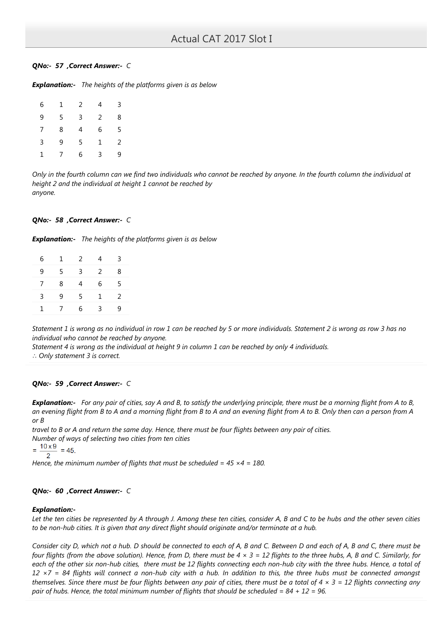# QNo:- 57 ,Correct Answer:- C

**Explanation:-** The heights of the platforms given is as below

| 6              | 1 | 2 | 4 | 3 |
|----------------|---|---|---|---|
| 9              | 5 | 3 | 2 | 8 |
| 7              | 8 | 4 | 6 | 5 |
| $\overline{3}$ | 9 | 5 | 1 | 2 |
| $\mathbf{1}$   | 7 | 6 | 3 | 9 |

Only in the fourth column can we find two individuals who cannot be reached by anyone. In the fourth column the individual at height 2 and the individual at height 1 cannot be reached by anyone.

## QNo:- 58 ,Correct Answer:- C

**Explanation:-** The heights of the platforms given is as below

| 6               | 1. | 2 | 4 | ξ |
|-----------------|----|---|---|---|
| 9               | 5  | 3 | 2 | 8 |
| $7\overline{ }$ | 8  | 4 | 6 | 5 |
| 3               | 9  | 5 | 1 | 2 |
| $\mathbf{1}$    | 7  | 6 | 3 | q |

Statement 1 is wrong as no individual in row 1 can be reached by 5 or more individuals. Statement 2 is wrong as row 3 has no individual who cannot be reached by anyone.

Statement 4 is wrong as the individual at height 9 in column 1 can be reached by only 4 individuals.

∴ Only statement 3 is correct.

#### QNo:- 59 ,Correct Answer:- C

**Explanation:-** For any pair of cities, say A and B, to satisfy the underlying principle, there must be a morning flight from A to B, an evening flight from B to A and a morning flight from B to A and an evening flight from A to B. Only then can a person from A or B

travel to B or A and return the same day. Hence, there must be four flights between any pair of cities.

Number of ways of selecting two cities from ten cities

 $=\frac{10\times9}{10\times9}=45.$  $\overline{2}$ 

Hence, the minimum number of flights that must be scheduled =  $45 \times 4 = 180$ .

### QNo:- 60 ,Correct Answer:- C

#### Explanation:-

Let the ten cities be represented by A through J. Among these ten cities, consider A, B and C to be hubs and the other seven cities to be non-hub cities. It is given that any direct flight should originate and/or terminate at a hub.

Consider city D, which not a hub. D should be connected to each of A, B and C. Between D and each of A, B and C, there must be four flights (from the above solution). Hence, from D, there must be  $4 \times 3 = 12$  flights to the three hubs, A, B and C. Similarly, for each of the other six non-hub cities, there must be 12 flights connecting each non-hub city with the three hubs. Hence, a total of  $12 \times 7$  = 84 flights will connect a non-hub city with a hub. In addition to this, the three hubs must be connected amongst themselves. Since there must be four flights between any pair of cities, there must be a total of  $4 \times 3 = 12$  flights connecting any pair of hubs. Hence, the total minimum number of flights that should be scheduled =  $84 + 12 = 96$ .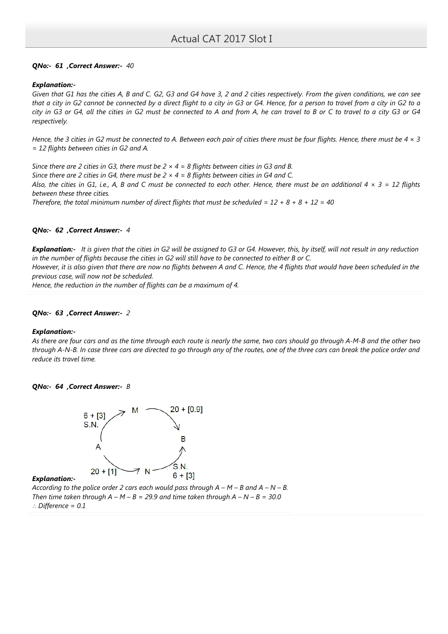## QNo:- 61 ,Correct Answer:- 40

## Explanation:-

Given that G1 has the cities A, B and C. G2, G3 and G4 have 3, 2 and 2 cities respectively. From the given conditions, we can see that a city in G2 cannot be connected by a direct flight to a city in G3 or G4. Hence, for a person to travel from a city in G2 to a city in G3 or G4, all the cities in G2 must be connected to A and from A, he can travel to B or C to travel to a city G3 or G4 respectively.

Hence, the 3 cities in G2 must be connected to A. Between each pair of cities there must be four flights. Hence, there must be  $4 \times 3$ = 12 flights between cities in G2 and A.

Since there are 2 cities in G3, there must be  $2 \times 4 = 8$  flights between cities in G3 and B. Since there are 2 cities in G4, there must be  $2 \times 4 = 8$  flights between cities in G4 and C. Also, the cities in G1, i.e., A, B and C must be connected to each other. Hence, there must be an additional  $4 \times 3 = 12$  flights between these three cities. Therefore, the total minimum number of direct flights that must be scheduled =  $12 + 8 + 8 + 12 = 40$ 

QNo:- 62 ,Correct Answer:- 4

Explanation:- It is given that the cities in G2 will be assigned to G3 or G4. However, this, by itself, will not result in any reduction in the number of flights because the cities in G2 will still have to be connected to either B or C.

However, it is also given that there are now no flights between A and C. Hence, the 4 flights that would have been scheduled in the previous case, will now not be scheduled.

Hence, the reduction in the number of flights can be a maximum of 4.

#### QNo:- 63 ,Correct Answer:- 2

#### Explanation:-

As there are four cars and as the time through each route is nearly the same, two cars should go through A-M-B and the other two through A-N-B. In case three cars are directed to go through any of the routes, one of the three cars can break the police order and reduce its travel time.

QNo:- 64 ,Correct Answer:- B



#### Explanation:-

According to the police order 2 cars each would pass through  $A - M - B$  and  $A - N - B$ . Then time taken through  $A - M - B = 29.9$  and time taken through  $A - N - B = 30.0$ ∴ Difference = 0.1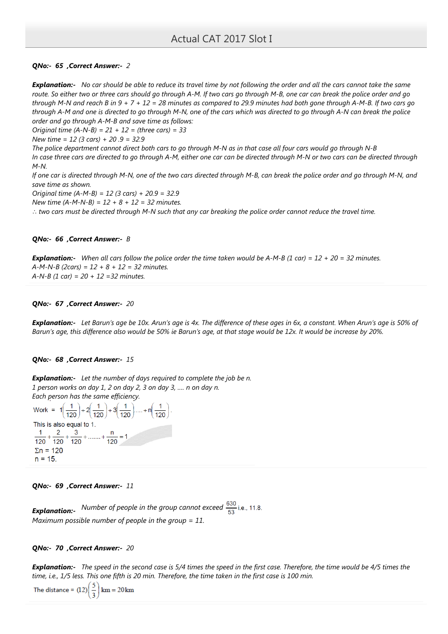## QNo:- 65 ,Correct Answer:- 2

Explanation:- No car should be able to reduce its travel time by not following the order and all the cars cannot take the same route. So either two or three cars should go through A-M. If two cars go through M-B, one car can break the police order and go through M-N and reach B in  $9 + 7 + 12 = 28$  minutes as compared to 29.9 minutes had both gone through A-M-B. If two cars go through A-M and one is directed to go through M-N, one of the cars which was directed to go through A-N can break the police order and go through A-M-B and save time as follows:

Original time  $(A-N-B) = 21 + 12 = (three cars) = 33$ 

New time =  $12$  (3 cars) +  $20.9 = 32.9$ 

The police department cannot direct both cars to go through M-N as in that case all four cars would go through N-B

In case three cars are directed to go through A-M, either one car can be directed through M-N or two cars can be directed through M-N.

If one car is directed through M-N, one of the two cars directed through M-B, can break the police order and go through M-N, and save time as shown.

Original time  $(A-M-B) = 12 (3 cars) + 20.9 = 32.9$ 

New time  $(A-M-N-B) = 12 + 8 + 12 = 32$  minutes.

∴ two cars must be directed through M-N such that any car breaking the police order cannot reduce the travel time.

#### QNo:- 66 ,Correct Answer:- B

**Explanation:-** When all cars follow the police order the time taken would be A-M-B (1 car) =  $12 + 20 = 32$  minutes. A-M-N-B (2cars) =  $12 + 8 + 12 = 32$  minutes. A-N-B (1 car) =  $20 + 12 = 32$  minutes.

### QNo:- 67 ,Correct Answer:- 20

Explanation:- Let Barun's age be 10x. Arun's age is 4x. The difference of these ages in 6x, a constant. When Arun's age is 50% of Barun's age, this difference also would be 50% ie Barun's age, at that stage would be 12x. It would be increase by 20%.

#### QNo:- 68 ,Correct Answer:- 15

**Explanation:-** Let the number of days required to complete the job be n. 1 person works on day 1, 2 on day 2, 3 on day 3, …. n on day n. Each person has the same efficiency.

| Work = $1\left(\frac{1}{120}\right) + 2\left(\frac{1}{120}\right) + 3\left(\frac{1}{120}\right) + \dots + n\left(\frac{1}{120}\right).$ |
|-----------------------------------------------------------------------------------------------------------------------------------------|
| This is also equal to 1.                                                                                                                |
|                                                                                                                                         |
| $\frac{1}{120} + \frac{2}{120} + \frac{3}{120} + \dots + \frac{n}{120} = 1$                                                             |
| $\Sigma$ n = 120                                                                                                                        |
| $n = 15.$                                                                                                                               |

#### QNo:- 69 ,Correct Answer:- 11

**Explanation:-** Number of people in the group cannot exceed  $\frac{630}{53}$  i.e., 11.8. Maximum possible number of people in the group  $= 11$ .

#### QNo:- 70 ,Correct Answer:- 20

**Explanation:-** The speed in the second case is 5/4 times the speed in the first case. Therefore, the time would be 4/5 times the time, i.e., 1/5 less. This one fifth is 20 min. Therefore, the time taken in the first case is 100 min.

The distance =  $(12)$  $km = 20 km$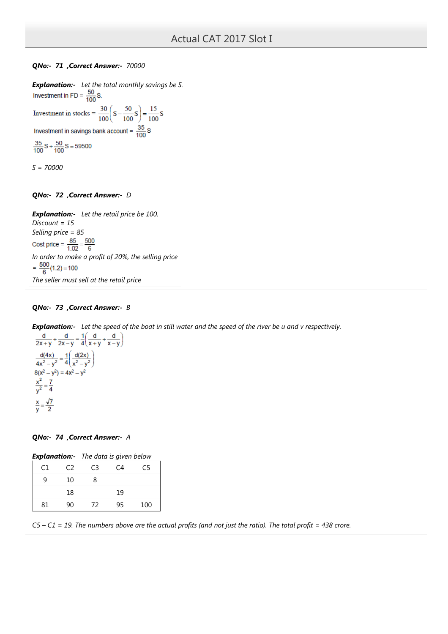# QNo:- 71 ,Correct Answer:- 70000

**Explanation:-** Let the total monthly savings be S.<br>Investment in FD =  $\frac{50}{100}$  S. Investment in stocks =  $\frac{30}{100} \left( S - \frac{50}{100} S \right) = \frac{15}{100} S$ Investment in savings bank account =  $\frac{35}{100}$  S  $\frac{35}{100}S + \frac{50}{100}S = 59500$  $S = 70000$ 

# QNo:- 72 , Correct Answer:- D

**Explanation:-** Let the retail price be 100. Discount = 15 Selling price =  $85$ <br>Cost price =  $\frac{85}{1.02}$  =  $\frac{500}{6}$ In order to make a profit of 20%, the selling price<br>=  $\frac{500}{6}(1.2)$  = 100 The seller must sell at the retail price

## QNo:- 73 , Correct Answer:- B

**Explanation:-** Let the speed of the boat in still water and the speed of the river be u and v respectively.

$$
\frac{d}{2x+y} + \frac{d}{2x-y} = \frac{1}{4} \left( \frac{d}{x+y} + \frac{d}{x-y} \right)
$$
  

$$
\frac{d(4x)}{4x^2 - y^2} = \frac{1}{4} \left( \frac{d(2x)}{x^2 - y^2} \right)
$$
  

$$
8(x^2 - y^2) = 4x^2 - y^2
$$
  

$$
\frac{x^2}{y^2} = \frac{7}{4}
$$
  

$$
\frac{x}{y} = \frac{\sqrt{7}}{2}
$$

QNo:- 74 , Correct Answer:- A

| <b>Explanation:-</b> The data is given below |    |    |    |     |
|----------------------------------------------|----|----|----|-----|
| CΙ                                           | C) | C٩ | ٢4 | ٦5  |
| q                                            | 10 | Ջ  |    |     |
|                                              | 18 |    | 19 |     |
| 81                                           | 90 | 72 | 95 | 100 |

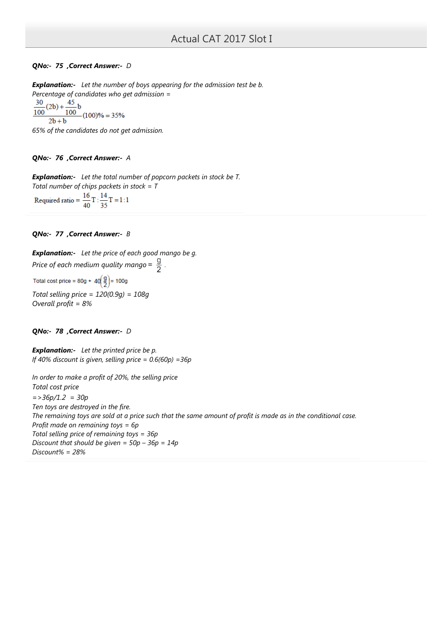# QNo:- 75 ,Correct Answer:- D

**Explanation:**- Let the number of boys appearing for the admission test be b.<br>Percentage of candidates who get admission =<br> $\frac{30}{100}(2b) + \frac{45}{100}b$ <br> $(100)(100)(6) = 35%$ Percentage of candidates who get admission =  $\overline{100}$ 

65% of the candidates do not get admission.

## QNo:- 76 ,Correct Answer:- A

**Explanation:-** Let the total number of popcorn packets in stock be T. Total number of chips packets in stock =  $T$ 

Required ratio =  $\frac{16}{40}T : \frac{14}{35}T = 1:1$ 

## QNo:- 77 , Correct Answer:- B

**Explanation:-** Let the price of each good mango be g. Price of each medium quality mango =  $\frac{9}{2}$ . Total cost price = 80g +  $40\left(\frac{9}{2}\right)$  = 100g Total selling price =  $120(0.9g) = 108g$ Overall profit = 8%

## QNo:- 78 ,Correct Answer:- D

**Explanation:-** Let the printed price be p. If 40% discount is given, selling price =  $0.6(60p)$  = 36p

In order to make a profit of 20%, the selling price Total cost price  $=$  > 36p/1.2 = 30p Ten toys are destroyed in the fire. The remaining toys are sold at a price such that the same amount of profit is made as in the conditional case. Profit made on remaining toys = 6p Total selling price of remaining toys = 36p Discount that should be given =  $50p - 36p = 14p$ Discount% = 28%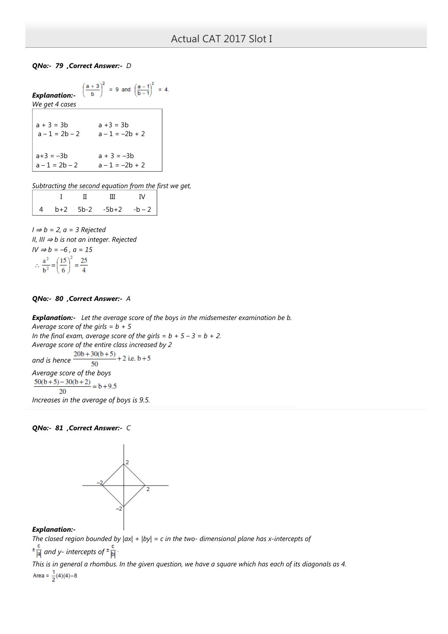QNo:- 79 ,Correct Answer:- D

 $a - 1 = 2b - 2$ 

**Explanation:** 
$$
\left(\frac{a+3}{b}\right)^2 = 9
$$
 and  $\left(\frac{a-1}{b-1}\right)^2 = 4$   
\nWe get 4 cases  
\n $a + 3 = 3b$   $a + 3 = 3b$   
\n $a - 1 = 2b - 2$   $a - 1 = -2b + 2$   
\n $a + 3 = -3b$   $a + 3 = -3b$ 

 $a - 1 = -2b + 2$ 

Subtracting the second equation from the first we get, I II III IV  $4$   $b+2$   $5b-2$   $-5b+2$   $-b-2$ 

 $I \Rightarrow b = 2$ ,  $a = 3$  Rejected II, III  $⇒ b$  is not an integer. Rejected  $IV \Rightarrow b = -6$ ,  $a = 15$  $\therefore \frac{a^2}{b^2} = \left(\frac{15}{6}\right)^2 = \frac{25}{4}$ 

## QNo:- 80 , Correct Answer:- A

**Explanation:-** Let the average score of the boys in the midsemester examination be b. Average score of the girls =  $b + 5$ In the final exam, average score of the girls =  $b + 5 - 3 = b + 2$ . Average score of the entire class increased by 2 and is hence  $\frac{20b+30(b+5)}{50}+2$  i.e. b+5 Average score of the boys<br> $\frac{50(b+5)-30(b+2)}{b} = b+9.5$ 20 Increases in the average of boys is 9.5.

## QNo:- 81 ,Correct Answer:- C



## Explanation:-

The closed region bounded by  $|ax| + |by| = c$  in the two- dimensional plane has x-intercepts of  $\pm \frac{c}{|a|}$  and y- intercepts of  $\pm \frac{c}{|b|}$ .

This is in general a rhombus. In the given question, we have a square which has each of its diagonals as 4.Area =  $\frac{1}{2}(4)(4)=8$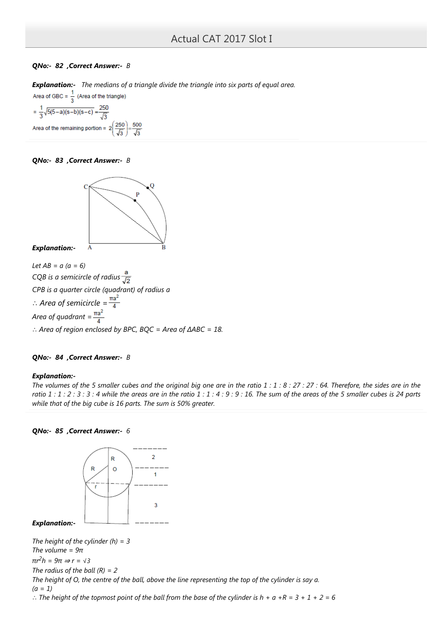## QNo:- 82 , Correct Answer:- B

**Explanation:-** The medians of a triangle divide the triangle into six parts of equal area.

Area of GBC =  $\frac{1}{3}$  (Area of the triangle) =  $\frac{1}{3}\sqrt{5(5-a)(s-b)(s-c)}$ Area of the remaining portion =  $2\left(\frac{250}{\sqrt{3}}\right) = \frac{500}{\sqrt{3}}$ 

### QNo:- 83 ,Correct Answer:- B



#### Explanation:-

Let  $AB = a$  ( $a = 6$ ) CQB is a semicircle of radius  $\frac{a}{\sqrt{2}}$ CPB is a quarter circle (quadrant) of radius a ∴ Area of semicircle =  $\frac{\pi a^2}{4}$ Area of quadrant =  $\frac{\pi a^2}{4}$ ∴ Area of region enclosed by BPC, BQC = Area of ∆ABC = 18.

#### QNo:- 84 , Correct Answer:- B

### Explanation:-

The volumes of the 5 smaller cubes and the original big one are in the ratio  $1:1:8:27:27:64$ . Therefore, the sides are in the ratio  $1:1:2:3:3:4$  while the areas are in the ratio  $1:1:4:9:9:16$ . The sum of the areas of the 5 smaller cubes is 24 parts while that of the big cube is 16 parts. The sum is 50% greater.

#### QNo:- 85 , Correct Answer:- 6



The height of the cylinder (h) =  $3$ The volume =  $9\pi$  $\pi r^2 h = 9\pi \Rightarrow r = \sqrt{3}$ The radius of the ball  $(R) = 2$ The height of O, the centre of the ball, above the line representing the top of the cylinder is say a.  $(a = 1)$ ∴ The height of the topmost point of the ball from the base of the cylinder is  $h + a + R = 3 + 1 + 2 = 6$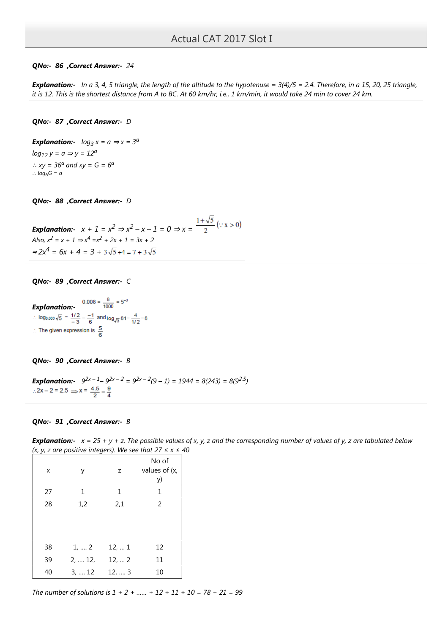## QNo:- 86 ,Correct Answer:- 24

**Explanation:-** In a 3, 4, 5 triangle, the length of the altitude to the hypotenuse =  $3(4)/5$  = 2.4. Therefore, in a 15, 20, 25 triangle, it is 12. This is the shortest distance from A to BC. At 60 km/hr, i.e., 1 km/min, it would take 24 min to cover 24 km.

#### QNo:- 87 , Correct Answer:- D

**Explanation:-**  $\log_3 x = a \Rightarrow x = 3^a$  $log_{12} y = a \Rightarrow y = 12^a$ ∴  $xy = 36^a$  and  $xy = G = 6^a$ ∴  $log_6G = a$ 

QNo:- 88, Correct Answer:- D

Explanation:-  $x + 1 = x^2 \Rightarrow x^2 - x - 1 = 0 \Rightarrow x = 1$ Also,  $x^2 = x + 1 \Rightarrow x^4 = x^2 + 2x + 1 = 3x + 2$  $\Rightarrow 2x^4 = 6x + 4 = 3 + 3$ 

QNo:- 89 ,Correct Answer:- C

**Explanation:-**  $0.008 = \frac{8}{1000} = 5^{-3}$ <br>:: log<sub>0.008</sub> $\sqrt{5} = \frac{1/2}{-3} = \frac{-1}{6}$  and log<sub> $\sqrt{3}$ </sub>  $81 = \frac{4}{1/2} = 8$ :. The given expression is  $\frac{5}{6}$ 

QNo:- 90 ,Correct Answer:- B

**Explanation:-**  $9^{2x-1} - 9^{2x-2} = 9^{2x-2}(9-1) = 1944 = 8(243) = 8(9^{2.5})$  $\therefore$  2x - 2 = 2.5  $\Rightarrow$  x =  $\frac{4.5}{2} = \frac{9}{4}$ 

#### QNo:- 91 ,Correct Answer:- B

**Explanation:-**  $x = 25 + y + z$ . The possible values of x, y, z and the corresponding number of values of y, z are tabulated below (x, y, z are positive integers). We see that  $27 \le x \le 40$ 

| X  | у             | z              | No of<br>values of (x,<br>y) |
|----|---------------|----------------|------------------------------|
| 27 | 1             | 1              | 1                            |
| 28 | 1,2           | 2,1            | 2                            |
|    |               |                |                              |
| 38 | 1,  2         | 12,  1         | 12                           |
| 39 | 2,  12,       | 12,  2         | 11                           |
| 40 | $3, \dots 12$ | $12, \ldots 3$ | 10                           |

The number of solutions is  $1 + 2 + ... + 12 + 11 + 10 = 78 + 21 = 99$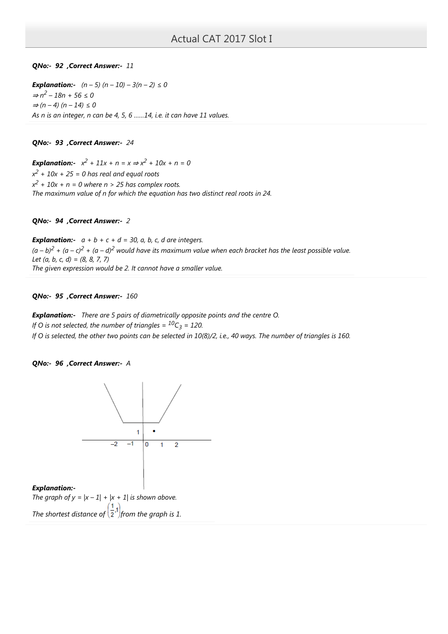**Explanation:-**  $(n - 5) (n - 10) - 3(n - 2) \le 0$  $\Rightarrow$   $n^2 - 18n + 56 \le 0$  $\Rightarrow$  (n – 4) (n – 14)  $\leq$  0 As n is an integer, n can be 4, 5, 6 ……14, i.e. it can have 11 values.

# QNo:- 93 ,Correct Answer:- 24

**Explanation:-**  $x^2 + 11x + n = x \Rightarrow x^2 + 10x + n = 0$  $x^2$  + 10x + 25 = 0 has real and equal roots  $x^2$  + 10x + n = 0 where n > 25 has complex roots. The maximum value of n for which the equation has two distinct real roots in 24.

## QNo:- 94 ,Correct Answer:- 2

**Explanation:-**  $a + b + c + d = 30$ , a, b, c, d are integers.  $(a-b)^2 + (a-c)^2 + (a-d)^2$  would have its maximum value when each bracket has the least possible value. Let  $(a, b, c, d) = (8, 8, 7, 7)$ The given expression would be 2. It cannot have a smaller value.

## QNo:- 95 ,Correct Answer:- 160

**Explanation:-** There are 5 pairs of diametrically opposite points and the centre O. If O is not selected, the number of triangles =  ${}^{10}C_3$  = 120. If O is selected, the other two points can be selected in 10(8)/2, i.e., 40 ways. The number of triangles is 160.

## QNo:- 96 ,Correct Answer:- A